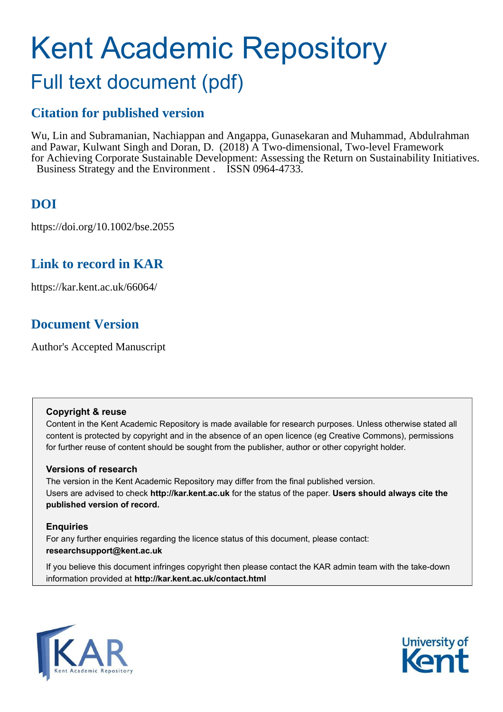# Kent Academic Repository

# Full text document (pdf)

## **Citation for published version**

Wu, Lin and Subramanian, Nachiappan and Angappa, Gunasekaran and Muhammad, Abdulrahman and Pawar, Kulwant Singh and Doran, D. (2018) A Two-dimensional, Two-level Framework for Achieving Corporate Sustainable Development: Assessing the Return on Sustainability Initiatives. Business Strategy and the Environment . ISSN 0964-4733.

## **DOI**

https://doi.org/10.1002/bse.2055

### **Link to record in KAR**

https://kar.kent.ac.uk/66064/

## **Document Version**

Author's Accepted Manuscript

#### **Copyright & reuse**

Content in the Kent Academic Repository is made available for research purposes. Unless otherwise stated all content is protected by copyright and in the absence of an open licence (eg Creative Commons), permissions for further reuse of content should be sought from the publisher, author or other copyright holder.

#### **Versions of research**

The version in the Kent Academic Repository may differ from the final published version. Users are advised to check **http://kar.kent.ac.uk** for the status of the paper. **Users should always cite the published version of record.**

#### **Enquiries**

For any further enquiries regarding the licence status of this document, please contact: **researchsupport@kent.ac.uk**

If you believe this document infringes copyright then please contact the KAR admin team with the take-down information provided at **http://kar.kent.ac.uk/contact.html**



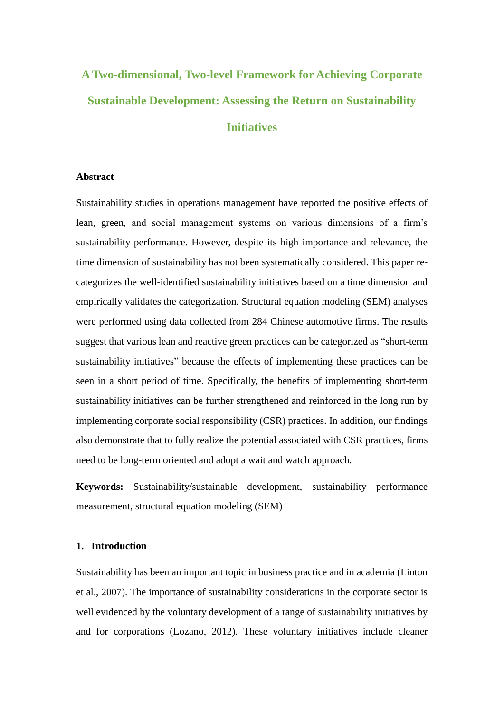## **A Two-dimensional, Two-level Framework for Achieving Corporate Sustainable Development: Assessing the Return on Sustainability Initiatives**

#### **Abstract**

Sustainability studies in operations management have reported the positive effects of lean, green, and social management systems on various dimensions of a firm's sustainability performance. However, despite its high importance and relevance, the time dimension of sustainability has not been systematically considered. This paper recategorizes the well-identified sustainability initiatives based on a time dimension and empirically validates the categorization. Structural equation modeling (SEM) analyses were performed using data collected from 284 Chinese automotive firms. The results suggest that various lean and reactive green practices can be categorized as "short-term sustainability initiatives" because the effects of implementing these practices can be seen in a short period of time. Specifically, the benefits of implementing short-term sustainability initiatives can be further strengthened and reinforced in the long run by implementing corporate social responsibility (CSR) practices. In addition, our findings also demonstrate that to fully realize the potential associated with CSR practices, firms need to be long-term oriented and adopt a wait and watch approach.

**Keywords:** Sustainability/sustainable development, sustainability performance measurement, structural equation modeling (SEM)

#### **1. Introduction**

Sustainability has been an important topic in business practice and in academia (Linton et al., 2007). The importance of sustainability considerations in the corporate sector is well evidenced by the voluntary development of a range of sustainability initiatives by and for corporations (Lozano, 2012). These voluntary initiatives include cleaner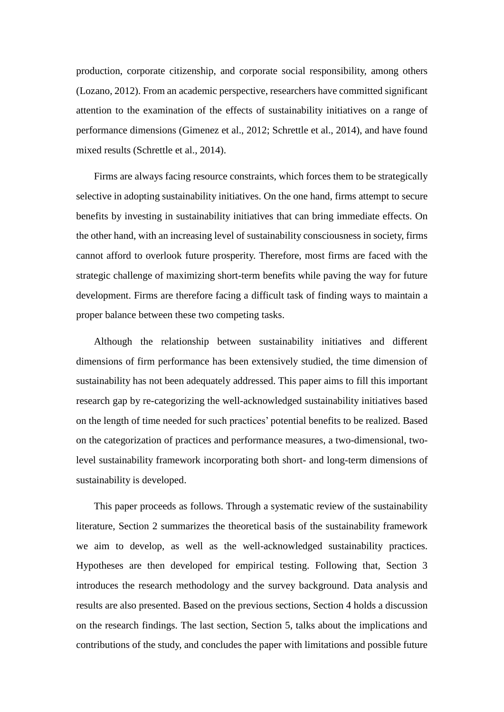production, corporate citizenship, and corporate social responsibility, among others (Lozano, 2012). From an academic perspective, researchers have committed significant attention to the examination of the effects of sustainability initiatives on a range of performance dimensions (Gimenez et al., 2012; Schrettle et al., 2014), and have found mixed results (Schrettle et al., 2014).

Firms are always facing resource constraints, which forces them to be strategically selective in adopting sustainability initiatives. On the one hand, firms attempt to secure benefits by investing in sustainability initiatives that can bring immediate effects. On the other hand, with an increasing level of sustainability consciousness in society, firms cannot afford to overlook future prosperity. Therefore, most firms are faced with the strategic challenge of maximizing short-term benefits while paving the way for future development. Firms are therefore facing a difficult task of finding ways to maintain a proper balance between these two competing tasks.

Although the relationship between sustainability initiatives and different dimensions of firm performance has been extensively studied, the time dimension of sustainability has not been adequately addressed. This paper aims to fill this important research gap by re-categorizing the well-acknowledged sustainability initiatives based on the length of time needed for such practices' potential benefits to be realized. Based on the categorization of practices and performance measures, a two-dimensional, twolevel sustainability framework incorporating both short- and long-term dimensions of sustainability is developed.

This paper proceeds as follows. Through a systematic review of the sustainability literature, Section 2 summarizes the theoretical basis of the sustainability framework we aim to develop, as well as the well-acknowledged sustainability practices. Hypotheses are then developed for empirical testing. Following that, Section 3 introduces the research methodology and the survey background. Data analysis and results are also presented. Based on the previous sections, Section 4 holds a discussion on the research findings. The last section, Section 5, talks about the implications and contributions of the study, and concludes the paper with limitations and possible future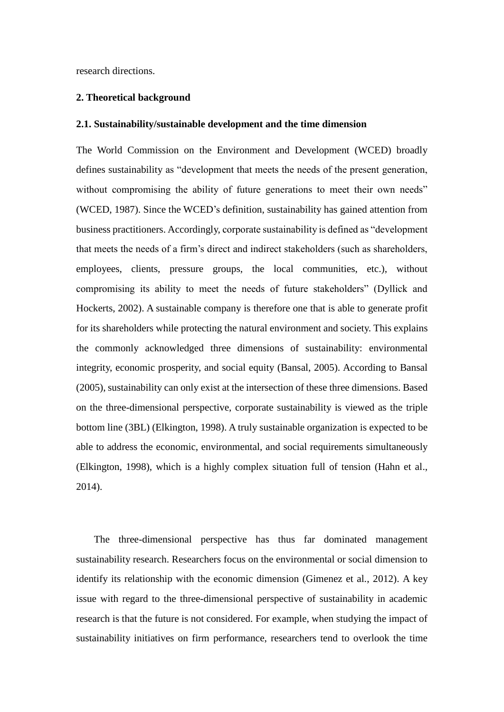research directions.

#### **2. Theoretical background**

#### **2.1. Sustainability/sustainable development and the time dimension**

The World Commission on the Environment and Development (WCED) broadly defines sustainability as "development that meets the needs of the present generation, without compromising the ability of future generations to meet their own needs" (WCED, 1987). Since the WCED's definition, sustainability has gained attention from business practitioners. Accordingly, corporate sustainability is defined as "development that meets the needs of a firm's direct and indirect stakeholders (such as shareholders, employees, clients, pressure groups, the local communities, etc.), without compromising its ability to meet the needs of future stakeholders" (Dyllick and Hockerts, 2002). A sustainable company is therefore one that is able to generate profit for its shareholders while protecting the natural environment and society. This explains the commonly acknowledged three dimensions of sustainability: environmental integrity, economic prosperity, and social equity (Bansal, 2005). According to Bansal (2005), sustainability can only exist at the intersection of these three dimensions. Based on the three-dimensional perspective, corporate sustainability is viewed as the triple bottom line (3BL) (Elkington, 1998). A truly sustainable organization is expected to be able to address the economic, environmental, and social requirements simultaneously (Elkington, 1998), which is a highly complex situation full of tension (Hahn et al., 2014).

The three-dimensional perspective has thus far dominated management sustainability research. Researchers focus on the environmental or social dimension to identify its relationship with the economic dimension (Gimenez et al., 2012). A key issue with regard to the three-dimensional perspective of sustainability in academic research is that the future is not considered. For example, when studying the impact of sustainability initiatives on firm performance, researchers tend to overlook the time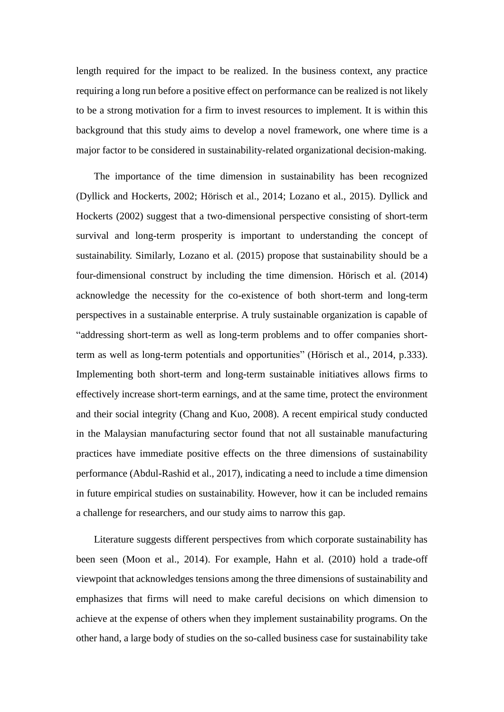length required for the impact to be realized. In the business context, any practice requiring a long run before a positive effect on performance can be realized is not likely to be a strong motivation for a firm to invest resources to implement. It is within this background that this study aims to develop a novel framework, one where time is a major factor to be considered in sustainability-related organizational decision-making.

The importance of the time dimension in sustainability has been recognized (Dyllick and Hockerts, 2002; Hörisch et al., 2014; Lozano et al., 2015). Dyllick and Hockerts (2002) suggest that a two-dimensional perspective consisting of short-term survival and long-term prosperity is important to understanding the concept of sustainability. Similarly, Lozano et al. (2015) propose that sustainability should be a four-dimensional construct by including the time dimension. Hörisch et al. (2014) acknowledge the necessity for the co-existence of both short-term and long-term perspectives in a sustainable enterprise. A truly sustainable organization is capable of "addressing short-term as well as long-term problems and to offer companies shortterm as well as long-term potentials and opportunities" (Hörisch et al., 2014, p.333). Implementing both short-term and long-term sustainable initiatives allows firms to effectively increase short-term earnings, and at the same time, protect the environment and their social integrity (Chang and Kuo, 2008). A recent empirical study conducted in the Malaysian manufacturing sector found that not all sustainable manufacturing practices have immediate positive effects on the three dimensions of sustainability performance (Abdul-Rashid et al., 2017), indicating a need to include a time dimension in future empirical studies on sustainability. However, how it can be included remains a challenge for researchers, and our study aims to narrow this gap.

Literature suggests different perspectives from which corporate sustainability has been seen (Moon et al., 2014). For example, Hahn et al. (2010) hold a trade-off viewpoint that acknowledges tensions among the three dimensions of sustainability and emphasizes that firms will need to make careful decisions on which dimension to achieve at the expense of others when they implement sustainability programs. On the other hand, a large body of studies on the so-called business case for sustainability take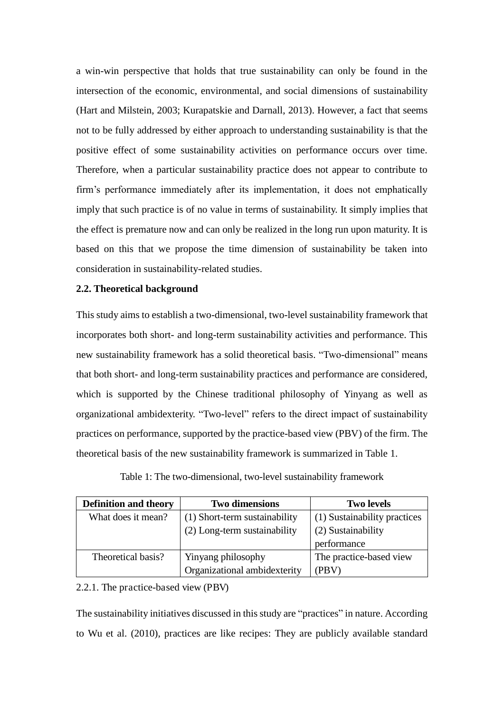a win-win perspective that holds that true sustainability can only be found in the intersection of the economic, environmental, and social dimensions of sustainability (Hart and Milstein, 2003; Kurapatskie and Darnall, 2013). However, a fact that seems not to be fully addressed by either approach to understanding sustainability is that the positive effect of some sustainability activities on performance occurs over time. Therefore, when a particular sustainability practice does not appear to contribute to firm's performance immediately after its implementation, it does not emphatically imply that such practice is of no value in terms of sustainability. It simply implies that the effect is premature now and can only be realized in the long run upon maturity. It is based on this that we propose the time dimension of sustainability be taken into consideration in sustainability-related studies.

#### **2.2. Theoretical background**

This study aims to establish a two-dimensional, two-level sustainability framework that incorporates both short- and long-term sustainability activities and performance. This new sustainability framework has a solid theoretical basis. "Two-dimensional" means that both short- and long-term sustainability practices and performance are considered, which is supported by the Chinese traditional philosophy of Yinyang as well as organizational ambidexterity. "Two-level" refers to the direct impact of sustainability practices on performance, supported by the practice-based view (PBV) of the firm. The theoretical basis of the new sustainability framework is summarized in Table 1.

| <b>Definition and theory</b> | <b>Two dimensions</b>         | <b>Two levels</b>            |
|------------------------------|-------------------------------|------------------------------|
| What does it mean?           | (1) Short-term sustainability | (1) Sustainability practices |
|                              | (2) Long-term sustainability  | (2) Sustainability           |
|                              |                               | performance                  |
| Theoretical basis?           | Yinyang philosophy            | The practice-based view      |
|                              | Organizational ambidexterity  | (PBV)                        |

Table 1: The two-dimensional, two-level sustainability framework

#### 2.2.1. The practice-based view (PBV)

The sustainability initiatives discussed in this study are "practices" in nature. According to Wu et al. (2010), practices are like recipes: They are publicly available standard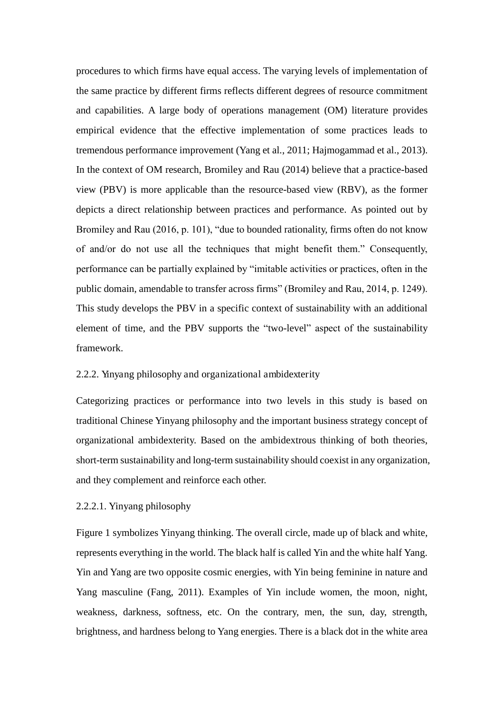procedures to which firms have equal access. The varying levels of implementation of the same practice by different firms reflects different degrees of resource commitment and capabilities. A large body of operations management (OM) literature provides empirical evidence that the effective implementation of some practices leads to tremendous performance improvement (Yang et al., 2011; Hajmogammad et al., 2013). In the context of OM research, Bromiley and Rau (2014) believe that a practice-based view (PBV) is more applicable than the resource-based view (RBV), as the former depicts a direct relationship between practices and performance. As pointed out by Bromiley and Rau (2016, p. 101), "due to bounded rationality, firms often do not know of and/or do not use all the techniques that might benefit them." Consequently, performance can be partially explained by "imitable activities or practices, often in the public domain, amendable to transfer across firms" (Bromiley and Rau, 2014, p. 1249). This study develops the PBV in a specific context of sustainability with an additional element of time, and the PBV supports the "two-level" aspect of the sustainability framework.

#### 2.2.2. Yinyang philosophy and organizational ambidexterity

Categorizing practices or performance into two levels in this study is based on traditional Chinese Yinyang philosophy and the important business strategy concept of organizational ambidexterity. Based on the ambidextrous thinking of both theories, short-term sustainability and long-term sustainability should coexist in any organization, and they complement and reinforce each other.

#### 2.2.2.1. Yinyang philosophy

Figure 1 symbolizes Yinyang thinking. The overall circle, made up of black and white, represents everything in the world. The black half is called Yin and the white half Yang. Yin and Yang are two opposite cosmic energies, with Yin being feminine in nature and Yang masculine (Fang, 2011). Examples of Yin include women, the moon, night, weakness, darkness, softness, etc. On the contrary, men, the sun, day, strength, brightness, and hardness belong to Yang energies. There is a black dot in the white area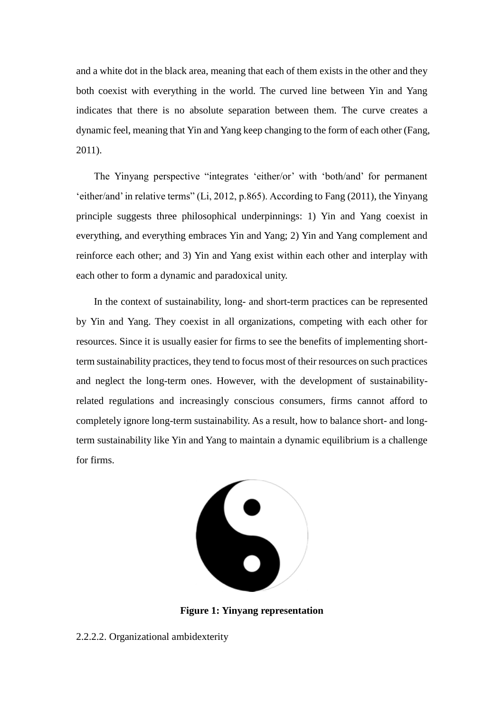and a white dot in the black area, meaning that each of them exists in the other and they both coexist with everything in the world. The curved line between Yin and Yang indicates that there is no absolute separation between them. The curve creates a dynamic feel, meaning that Yin and Yang keep changing to the form of each other (Fang, 2011).

The Yinyang perspective "integrates 'either/or' with 'both/and' for permanent 'either/and' in relative terms" (Li, 2012, p.865). According to Fang (2011), the Yinyang principle suggests three philosophical underpinnings: 1) Yin and Yang coexist in everything, and everything embraces Yin and Yang; 2) Yin and Yang complement and reinforce each other; and 3) Yin and Yang exist within each other and interplay with each other to form a dynamic and paradoxical unity.

In the context of sustainability, long- and short-term practices can be represented by Yin and Yang. They coexist in all organizations, competing with each other for resources. Since it is usually easier for firms to see the benefits of implementing shortterm sustainability practices, they tend to focus most of their resources on such practices and neglect the long-term ones. However, with the development of sustainabilityrelated regulations and increasingly conscious consumers, firms cannot afford to completely ignore long-term sustainability. As a result, how to balance short- and longterm sustainability like Yin and Yang to maintain a dynamic equilibrium is a challenge for firms.



**Figure 1: Yinyang representation** 

2.2.2.2. Organizational ambidexterity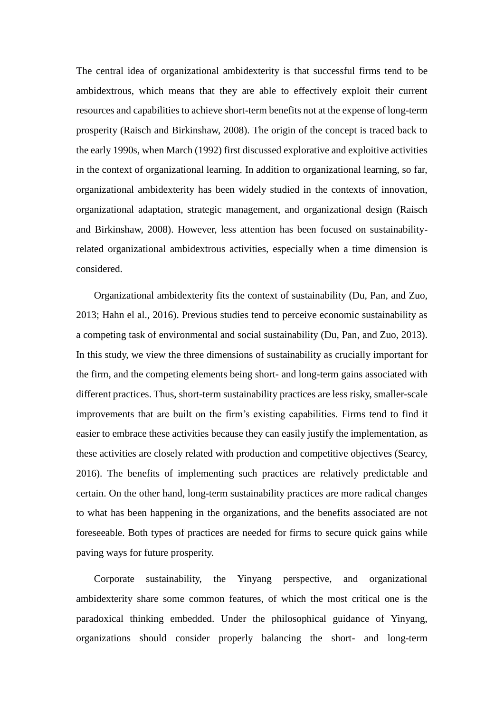The central idea of organizational ambidexterity is that successful firms tend to be ambidextrous, which means that they are able to effectively exploit their current resources and capabilities to achieve short-term benefits not at the expense of long-term prosperity (Raisch and Birkinshaw, 2008). The origin of the concept is traced back to the early 1990s, when March (1992) first discussed explorative and exploitive activities in the context of organizational learning. In addition to organizational learning, so far, organizational ambidexterity has been widely studied in the contexts of innovation, organizational adaptation, strategic management, and organizational design (Raisch and Birkinshaw, 2008). However, less attention has been focused on sustainabilityrelated organizational ambidextrous activities, especially when a time dimension is considered.

Organizational ambidexterity fits the context of sustainability (Du, Pan, and Zuo, 2013; Hahn el al., 2016). Previous studies tend to perceive economic sustainability as a competing task of environmental and social sustainability (Du, Pan, and Zuo, 2013). In this study, we view the three dimensions of sustainability as crucially important for the firm, and the competing elements being short- and long-term gains associated with different practices. Thus, short-term sustainability practices are less risky, smaller-scale improvements that are built on the firm's existing capabilities. Firms tend to find it easier to embrace these activities because they can easily justify the implementation, as these activities are closely related with production and competitive objectives (Searcy, 2016). The benefits of implementing such practices are relatively predictable and certain. On the other hand, long-term sustainability practices are more radical changes to what has been happening in the organizations, and the benefits associated are not foreseeable. Both types of practices are needed for firms to secure quick gains while paving ways for future prosperity.

Corporate sustainability, the Yinyang perspective, and organizational ambidexterity share some common features, of which the most critical one is the paradoxical thinking embedded. Under the philosophical guidance of Yinyang, organizations should consider properly balancing the short- and long-term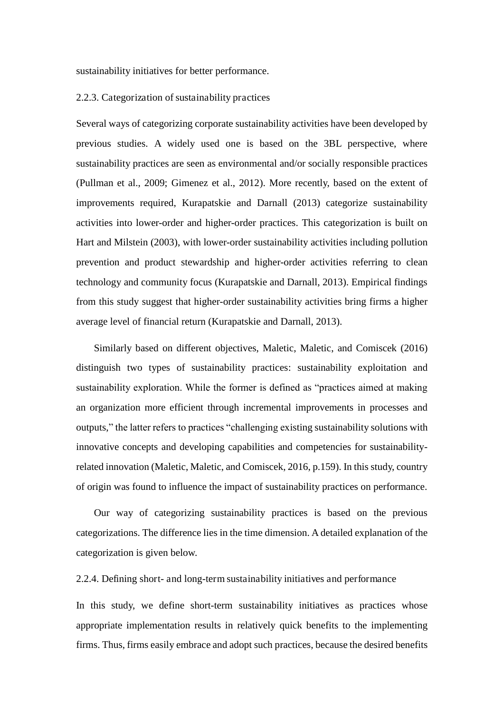sustainability initiatives for better performance.

#### 2.2.3. Categorization of sustainability practices

Several ways of categorizing corporate sustainability activities have been developed by previous studies. A widely used one is based on the 3BL perspective, where sustainability practices are seen as environmental and/or socially responsible practices (Pullman et al., 2009; Gimenez et al., 2012). More recently, based on the extent of improvements required, Kurapatskie and Darnall (2013) categorize sustainability activities into lower-order and higher-order practices. This categorization is built on Hart and Milstein (2003), with lower-order sustainability activities including pollution prevention and product stewardship and higher-order activities referring to clean technology and community focus (Kurapatskie and Darnall, 2013). Empirical findings from this study suggest that higher-order sustainability activities bring firms a higher average level of financial return (Kurapatskie and Darnall, 2013).

Similarly based on different objectives, Maletic, Maletic, and Comiscek (2016) distinguish two types of sustainability practices: sustainability exploitation and sustainability exploration. While the former is defined as "practices aimed at making an organization more efficient through incremental improvements in processes and outputs," the latter refers to practices "challenging existing sustainability solutions with innovative concepts and developing capabilities and competencies for sustainabilityrelated innovation (Maletic, Maletic, and Comiscek, 2016, p.159). In this study, country of origin was found to influence the impact of sustainability practices on performance.

Our way of categorizing sustainability practices is based on the previous categorizations. The difference lies in the time dimension. A detailed explanation of the categorization is given below.

2.2.4. Defining short- and long-term sustainability initiatives and performance

In this study, we define short-term sustainability initiatives as practices whose appropriate implementation results in relatively quick benefits to the implementing firms. Thus, firms easily embrace and adopt such practices, because the desired benefits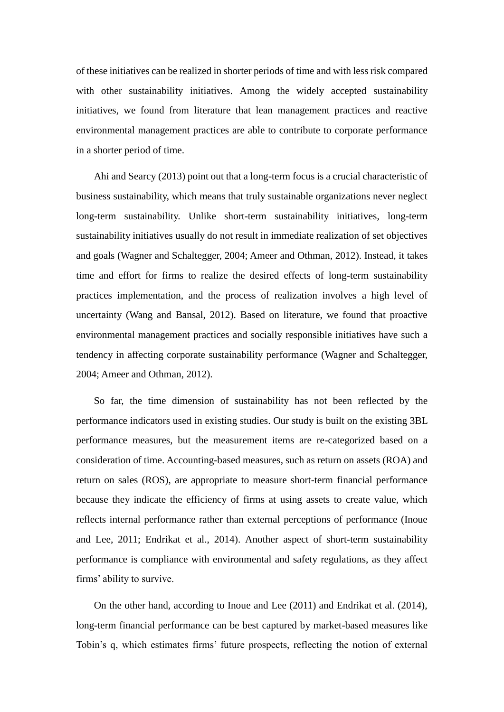of these initiatives can be realized in shorter periods of time and with less risk compared with other sustainability initiatives. Among the widely accepted sustainability initiatives, we found from literature that lean management practices and reactive environmental management practices are able to contribute to corporate performance in a shorter period of time.

Ahi and Searcy (2013) point out that a long-term focus is a crucial characteristic of business sustainability, which means that truly sustainable organizations never neglect long-term sustainability. Unlike short-term sustainability initiatives, long-term sustainability initiatives usually do not result in immediate realization of set objectives and goals (Wagner and Schaltegger, 2004; Ameer and Othman, 2012). Instead, it takes time and effort for firms to realize the desired effects of long-term sustainability practices implementation, and the process of realization involves a high level of uncertainty (Wang and Bansal, 2012). Based on literature, we found that proactive environmental management practices and socially responsible initiatives have such a tendency in affecting corporate sustainability performance (Wagner and Schaltegger, 2004; Ameer and Othman, 2012).

So far, the time dimension of sustainability has not been reflected by the performance indicators used in existing studies. Our study is built on the existing 3BL performance measures, but the measurement items are re-categorized based on a consideration of time. Accounting-based measures, such as return on assets (ROA) and return on sales (ROS), are appropriate to measure short-term financial performance because they indicate the efficiency of firms at using assets to create value, which reflects internal performance rather than external perceptions of performance (Inoue and Lee, 2011; Endrikat et al., 2014). Another aspect of short-term sustainability performance is compliance with environmental and safety regulations, as they affect firms' ability to survive.

On the other hand, according to Inoue and Lee (2011) and Endrikat et al. (2014), long-term financial performance can be best captured by market-based measures like Tobin's q, which estimates firms' future prospects, reflecting the notion of external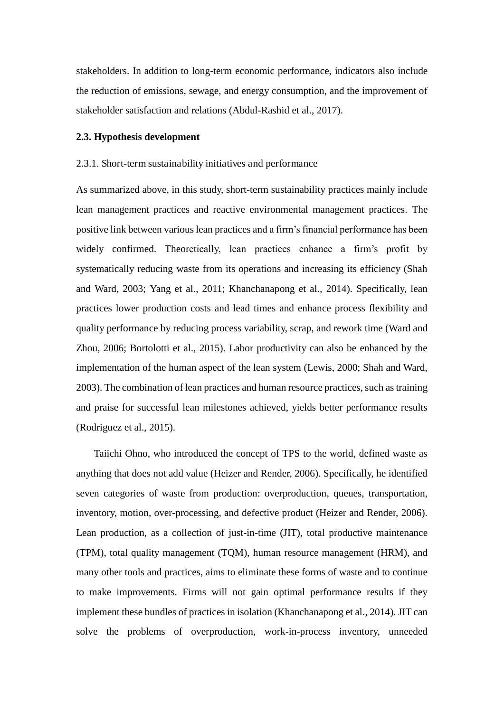stakeholders. In addition to long-term economic performance, indicators also include the reduction of emissions, sewage, and energy consumption, and the improvement of stakeholder satisfaction and relations (Abdul-Rashid et al., 2017).

#### **2.3. Hypothesis development**

#### 2.3.1. Short-term sustainability initiatives and performance

As summarized above, in this study, short-term sustainability practices mainly include lean management practices and reactive environmental management practices. The positive link between various lean practices and a firm's financial performance has been widely confirmed. Theoretically, lean practices enhance a firm's profit by systematically reducing waste from its operations and increasing its efficiency (Shah and Ward, 2003; Yang et al., 2011; Khanchanapong et al., 2014). Specifically, lean practices lower production costs and lead times and enhance process flexibility and quality performance by reducing process variability, scrap, and rework time (Ward and Zhou, 2006; Bortolotti et al., 2015). Labor productivity can also be enhanced by the implementation of the human aspect of the lean system (Lewis, 2000; Shah and Ward, 2003). The combination of lean practices and human resource practices, such as training and praise for successful lean milestones achieved, yields better performance results (Rodriguez et al., 2015).

Taiichi Ohno, who introduced the concept of TPS to the world, defined waste as anything that does not add value (Heizer and Render, 2006). Specifically, he identified seven categories of waste from production: overproduction, queues, transportation, inventory, motion, over-processing, and defective product (Heizer and Render, 2006). Lean production, as a collection of just-in-time (JIT), total productive maintenance (TPM), total quality management (TQM), human resource management (HRM), and many other tools and practices, aims to eliminate these forms of waste and to continue to make improvements. Firms will not gain optimal performance results if they implement these bundles of practices in isolation (Khanchanapong et al., 2014). JIT can solve the problems of overproduction, work-in-process inventory, unneeded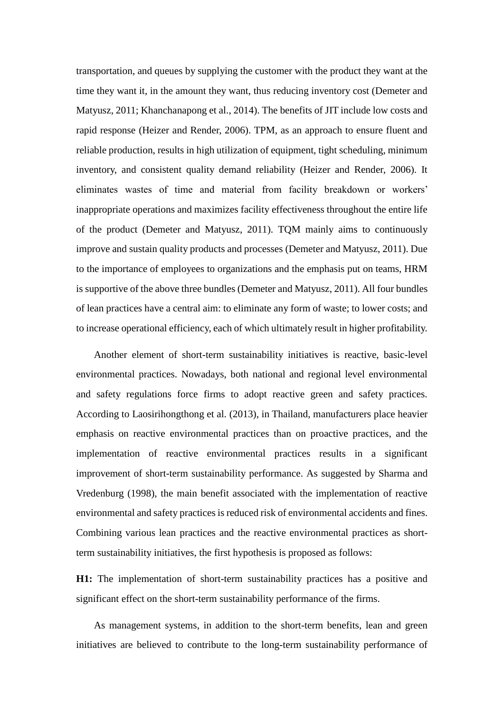transportation, and queues by supplying the customer with the product they want at the time they want it, in the amount they want, thus reducing inventory cost (Demeter and Matyusz, 2011; Khanchanapong et al., 2014). The benefits of JIT include low costs and rapid response (Heizer and Render, 2006). TPM, as an approach to ensure fluent and reliable production, results in high utilization of equipment, tight scheduling, minimum inventory, and consistent quality demand reliability (Heizer and Render, 2006). It eliminates wastes of time and material from facility breakdown or workers' inappropriate operations and maximizes facility effectiveness throughout the entire life of the product (Demeter and Matyusz, 2011). TQM mainly aims to continuously improve and sustain quality products and processes (Demeter and Matyusz, 2011). Due to the importance of employees to organizations and the emphasis put on teams, HRM is supportive of the above three bundles (Demeter and Matyusz, 2011). All four bundles of lean practices have a central aim: to eliminate any form of waste; to lower costs; and to increase operational efficiency, each of which ultimately result in higher profitability.

Another element of short-term sustainability initiatives is reactive, basic-level environmental practices. Nowadays, both national and regional level environmental and safety regulations force firms to adopt reactive green and safety practices. According to Laosirihongthong et al. (2013), in Thailand, manufacturers place heavier emphasis on reactive environmental practices than on proactive practices, and the implementation of reactive environmental practices results in a significant improvement of short-term sustainability performance. As suggested by Sharma and Vredenburg (1998), the main benefit associated with the implementation of reactive environmental and safety practices is reduced risk of environmental accidents and fines. Combining various lean practices and the reactive environmental practices as shortterm sustainability initiatives, the first hypothesis is proposed as follows:

**H1:** The implementation of short-term sustainability practices has a positive and significant effect on the short-term sustainability performance of the firms.

As management systems, in addition to the short-term benefits, lean and green initiatives are believed to contribute to the long-term sustainability performance of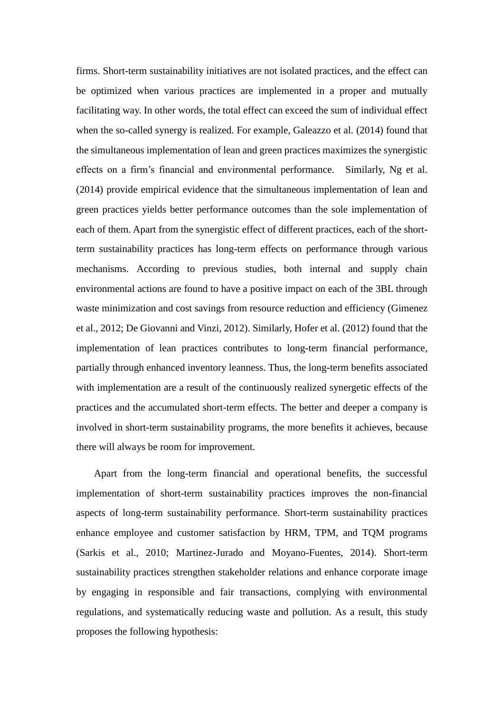firms. Short-term sustainability initiatives are not isolated practices, and the effect can be optimized when various practices are implemented in a proper and mutually facilitating way. In other words, the total effect can exceed the sum of individual effect when the so-called synergy is realized. For example, Galeazzo et al. (2014) found that the simultaneous implementation of lean and green practices maximizes the synergistic effects on a firm's financial and environmental performance. Similarly, Ng et al. (2014) provide empirical evidence that the simultaneous implementation of lean and green practices yields better performance outcomes than the sole implementation of each of them. Apart from the synergistic effect of different practices, each of the shortterm sustainability practices has long-term effects on performance through various mechanisms. According to previous studies, both internal and supply chain environmental actions are found to have a positive impact on each of the 3BL through waste minimization and cost savings from resource reduction and efficiency (Gimenez et al., 2012; De Giovanni and Vinzi, 2012). Similarly, Hofer et al. (2012) found that the implementation of lean practices contributes to long-term financial performance, partially through enhanced inventory leanness. Thus, the long-term benefits associated with implementation are a result of the continuously realized synergetic effects of the practices and the accumulated short-term effects. The better and deeper a company is involved in short-term sustainability programs, the more benefits it achieves, because there will always be room for improvement.

Apart from the long-term financial and operational benefits, the successful implementation of short-term sustainability practices improves the non-financial aspects of long-term sustainability performance. Short-term sustainability practices enhance employee and customer satisfaction by HRM, TPM, and TQM programs (Sarkis et al., 2010; Martinez-Jurado and Moyano-Fuentes, 2014). Short-term sustainability practices strengthen stakeholder relations and enhance corporate image by engaging in responsible and fair transactions, complying with environmental regulations, and systematically reducing waste and pollution. As a result, this study proposes the following hypothesis: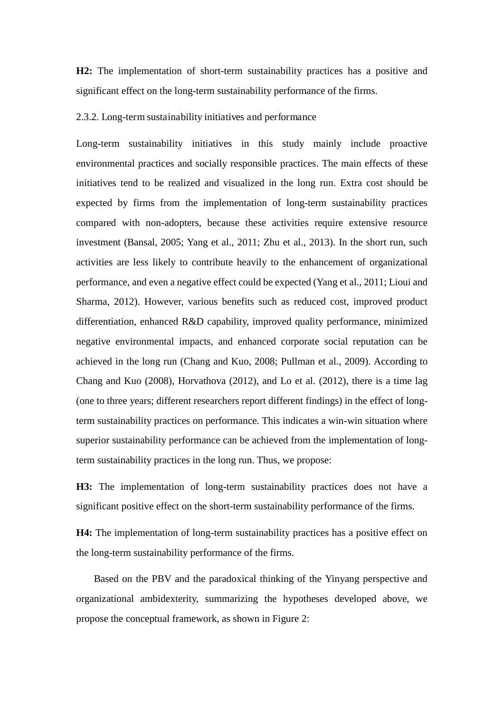**H2:** The implementation of short-term sustainability practices has a positive and significant effect on the long-term sustainability performance of the firms.

#### 2.3.2. Long-term sustainability initiatives and performance

Long-term sustainability initiatives in this study mainly include proactive environmental practices and socially responsible practices. The main effects of these initiatives tend to be realized and visualized in the long run. Extra cost should be expected by firms from the implementation of long-term sustainability practices compared with non-adopters, because these activities require extensive resource investment (Bansal, 2005; Yang et al., 2011; Zhu et al., 2013). In the short run, such activities are less likely to contribute heavily to the enhancement of organizational performance, and even a negative effect could be expected (Yang et al., 2011; Lioui and Sharma, 2012). However, various benefits such as reduced cost, improved product differentiation, enhanced R&D capability, improved quality performance, minimized negative environmental impacts, and enhanced corporate social reputation can be achieved in the long run (Chang and Kuo, 2008; Pullman et al., 2009). According to Chang and Kuo (2008), Horvathova (2012), and Lo et al. (2012), there is a time lag (one to three years; different researchers report different findings) in the effect of longterm sustainability practices on performance. This indicates a win-win situation where superior sustainability performance can be achieved from the implementation of longterm sustainability practices in the long run. Thus, we propose:

**H3:** The implementation of long-term sustainability practices does not have a significant positive effect on the short-term sustainability performance of the firms.

**H4:** The implementation of long-term sustainability practices has a positive effect on the long-term sustainability performance of the firms.

Based on the PBV and the paradoxical thinking of the Yinyang perspective and organizational ambidexterity, summarizing the hypotheses developed above, we propose the conceptual framework, as shown in Figure 2: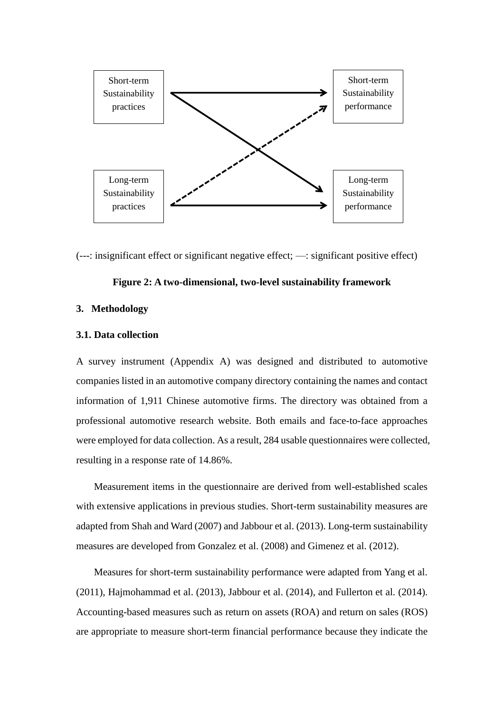

(---: insignificant effect or significant negative effect; —: significant positive effect)

#### **Figure 2: A two-dimensional, two-level sustainability framework**

#### **3. Methodology**

#### **3.1. Data collection**

A survey instrument (Appendix A) was designed and distributed to automotive companies listed in an automotive company directory containing the names and contact information of 1,911 Chinese automotive firms. The directory was obtained from a professional automotive research website. Both emails and face-to-face approaches were employed for data collection. As a result, 284 usable questionnaires were collected, resulting in a response rate of 14.86%.

Measurement items in the questionnaire are derived from well-established scales with extensive applications in previous studies. Short-term sustainability measures are adapted from Shah and Ward (2007) and Jabbour et al. (2013). Long-term sustainability measures are developed from Gonzalez et al. (2008) and Gimenez et al. (2012).

Measures for short-term sustainability performance were adapted from Yang et al. (2011), Hajmohammad et al. (2013), Jabbour et al. (2014), and Fullerton et al. (2014). Accounting-based measures such as return on assets (ROA) and return on sales (ROS) are appropriate to measure short-term financial performance because they indicate the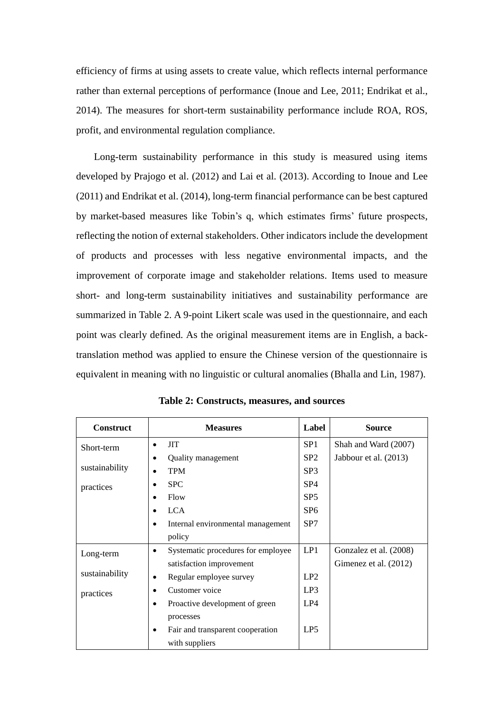efficiency of firms at using assets to create value, which reflects internal performance rather than external perceptions of performance (Inoue and Lee, 2011; Endrikat et al., 2014). The measures for short-term sustainability performance include ROA, ROS, profit, and environmental regulation compliance.

Long-term sustainability performance in this study is measured using items developed by Prajogo et al. (2012) and Lai et al. (2013). According to Inoue and Lee (2011) and Endrikat et al. (2014), long-term financial performance can be best captured by market-based measures like Tobin's q, which estimates firms' future prospects, reflecting the notion of external stakeholders. Other indicators include the development of products and processes with less negative environmental impacts, and the improvement of corporate image and stakeholder relations. Items used to measure short- and long-term sustainability initiatives and sustainability performance are summarized in Table 2. A 9-point Likert scale was used in the questionnaire, and each point was clearly defined. As the original measurement items are in English, a backtranslation method was applied to ensure the Chinese version of the questionnaire is equivalent in meaning with no linguistic or cultural anomalies (Bhalla and Lin, 1987).

| <b>Construct</b> | <b>Measures</b>                                 | Label           | <b>Source</b>          |
|------------------|-------------------------------------------------|-----------------|------------------------|
| Short-term       | <b>JIT</b><br>$\bullet$                         | SP <sub>1</sub> | Shah and Ward (2007)   |
|                  | Quality management<br>$\bullet$                 | SP <sub>2</sub> | Jabbour et al. (2013)  |
| sustainability   | <b>TPM</b>                                      | SP <sub>3</sub> |                        |
| practices        | <b>SPC</b><br>$\bullet$                         | SP <sub>4</sub> |                        |
|                  | Flow                                            | SP <sub>5</sub> |                        |
|                  | <b>LCA</b>                                      | SP <sub>6</sub> |                        |
|                  | Internal environmental management<br>$\bullet$  | SP <sub>7</sub> |                        |
|                  | policy                                          |                 |                        |
| Long-term        | Systematic procedures for employee<br>$\bullet$ | LP1             | Gonzalez et al. (2008) |
|                  | satisfaction improvement                        |                 | Gimenez et al. (2012)  |
| sustainability   | Regular employee survey<br>$\bullet$            | LP2             |                        |
| practices        | Customer voice                                  | LP3             |                        |
|                  | Proactive development of green<br>$\bullet$     | LP4             |                        |
|                  | processes                                       |                 |                        |
|                  | Fair and transparent cooperation<br>$\bullet$   | LP <sub>5</sub> |                        |
|                  | with suppliers                                  |                 |                        |

**Table 2: Constructs, measures, and sources**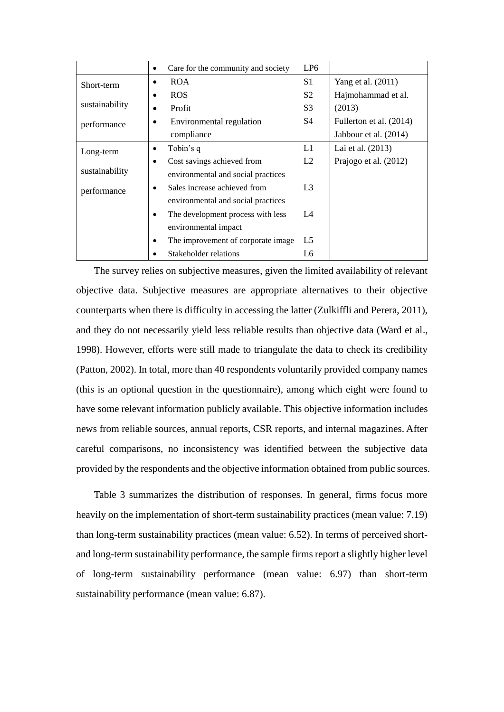|                | Care for the community and society<br>$\bullet$ | LP <sub>6</sub> |                         |
|----------------|-------------------------------------------------|-----------------|-------------------------|
| Short-term     | <b>ROA</b>                                      | S <sub>1</sub>  | Yang et al. (2011)      |
|                | <b>ROS</b>                                      | S <sub>2</sub>  | Hajmohammad et al.      |
| sustainability | Profit                                          | S <sub>3</sub>  | (2013)                  |
| performance    | Environmental regulation                        | S4              | Fullerton et al. (2014) |
|                | compliance                                      |                 | Jabbour et al. (2014)   |
| Long-term      | Tobin's q<br>٠                                  | L1              | Lai et al. (2013)       |
|                | Cost savings achieved from<br>٠                 | L2              | Prajogo et al. (2012)   |
| sustainability | environmental and social practices              |                 |                         |
| performance    | Sales increase achieved from<br>$\bullet$       | L <sub>3</sub>  |                         |
|                | environmental and social practices              |                 |                         |
|                | The development process with less               | L4              |                         |
|                | environmental impact                            |                 |                         |
|                | The improvement of corporate image.             | L <sub>5</sub>  |                         |
|                | Stakeholder relations                           | L <sub>6</sub>  |                         |

 The survey relies on subjective measures, given the limited availability of relevant objective data. Subjective measures are appropriate alternatives to their objective counterparts when there is difficulty in accessing the latter (Zulkiffli and Perera, 2011), and they do not necessarily yield less reliable results than objective data (Ward et al., 1998). However, efforts were still made to triangulate the data to check its credibility (Patton, 2002). In total, more than 40 respondents voluntarily provided company names (this is an optional question in the questionnaire), among which eight were found to have some relevant information publicly available. This objective information includes news from reliable sources, annual reports, CSR reports, and internal magazines. After careful comparisons, no inconsistency was identified between the subjective data provided by the respondents and the objective information obtained from public sources.

Table 3 summarizes the distribution of responses. In general, firms focus more heavily on the implementation of short-term sustainability practices (mean value: 7.19) than long-term sustainability practices (mean value: 6.52). In terms of perceived shortand long-term sustainability performance, the sample firms report a slightly higher level of long-term sustainability performance (mean value: 6.97) than short-term sustainability performance (mean value: 6.87).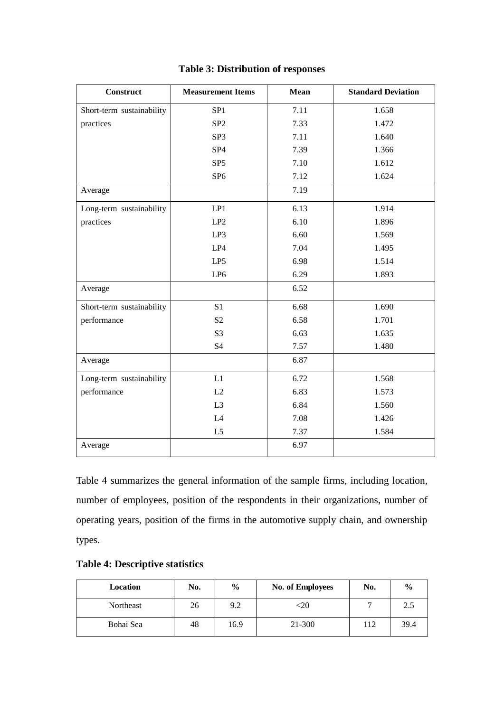| <b>Construct</b>          | <b>Measurement Items</b> | <b>Mean</b> | <b>Standard Deviation</b> |
|---------------------------|--------------------------|-------------|---------------------------|
| Short-term sustainability | SP <sub>1</sub>          | 7.11        | 1.658                     |
| practices                 | SP <sub>2</sub>          | 7.33        | 1.472                     |
|                           | SP <sub>3</sub>          | 7.11        | 1.640                     |
|                           | SP <sub>4</sub>          | 7.39        | 1.366                     |
|                           | SP <sub>5</sub>          | 7.10        | 1.612                     |
|                           | SP <sub>6</sub>          | 7.12        | 1.624                     |
| Average                   |                          | 7.19        |                           |
| Long-term sustainability  | LP1                      | 6.13        | 1.914                     |
| practices                 | LP2                      | 6.10        | 1.896                     |
|                           | LP3                      | 6.60        | 1.569                     |
|                           | LP4                      | 7.04        | 1.495                     |
|                           | LP5                      | 6.98        | 1.514                     |
|                           | LP <sub>6</sub>          | 6.29        | 1.893                     |
| Average                   |                          | 6.52        |                           |
| Short-term sustainability | S <sub>1</sub>           | 6.68        | 1.690                     |
| performance               | S <sub>2</sub>           | 6.58        | 1.701                     |
|                           | S <sub>3</sub>           | 6.63        | 1.635                     |
|                           | S4                       | 7.57        | 1.480                     |
| Average                   |                          | 6.87        |                           |
| Long-term sustainability  | L1                       | 6.72        | 1.568                     |
| performance               | L2                       | 6.83        | 1.573                     |
|                           | L <sub>3</sub>           | 6.84        | 1.560                     |
|                           | L4                       | 7.08        | 1.426                     |
|                           | L <sub>5</sub>           | 7.37        | 1.584                     |
| Average                   |                          | 6.97        |                           |

#### **Table 3: Distribution of responses**

Table 4 summarizes the general information of the sample firms, including location, number of employees, position of the respondents in their organizations, number of operating years, position of the firms in the automotive supply chain, and ownership types.

| Location  | No. | $\frac{6}{9}$ | <b>No. of Employees</b> | No. | $\frac{0}{0}$ |
|-----------|-----|---------------|-------------------------|-----|---------------|
| Northeast | 26  | 9.2           | <20                     |     | 2.5           |
| Bohai Sea | 48  | 16.9          | 21-300                  | 112 | 39.4          |

#### **Table 4: Descriptive statistics**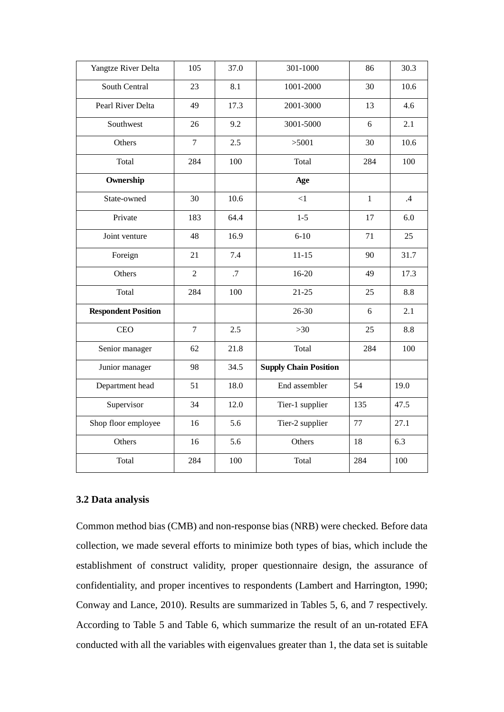| Yangtze River Delta        | 105            | 37.0 | 301-1000                     | 86           | 30.3 |
|----------------------------|----------------|------|------------------------------|--------------|------|
| South Central              | 23             | 8.1  | 1001-2000                    | 30           | 10.6 |
| Pearl River Delta          | 49             | 17.3 | 2001-3000                    | 13           | 4.6  |
| Southwest                  | 26             | 9.2  | 3001-5000                    | 6            | 2.1  |
| Others                     | $\overline{7}$ | 2.5  | >5001                        | 30           | 10.6 |
| Total                      | 284            | 100  | Total                        | 284          | 100  |
| Ownership                  |                |      | Age                          |              |      |
| State-owned                | 30             | 10.6 | $\leq$ 1                     | $\mathbf{1}$ | .4   |
| Private                    | 183            | 64.4 | $1 - 5$                      | 17           | 6.0  |
| Joint venture              | 48             | 16.9 | $6 - 10$                     | 71           | 25   |
| Foreign                    | 21             | 7.4  | $11 - 15$                    | 90           | 31.7 |
| Others                     | $\overline{2}$ | .7   | 16-20                        | 49           | 17.3 |
| Total                      | 284            | 100  | $21 - 25$                    | 25           | 8.8  |
| <b>Respondent Position</b> |                |      | 26-30                        | 6            | 2.1  |
| <b>CEO</b>                 | $\overline{7}$ | 2.5  | $>30$                        | 25           | 8.8  |
| Senior manager             | 62             | 21.8 | Total                        | 284          | 100  |
| Junior manager             | 98             | 34.5 | <b>Supply Chain Position</b> |              |      |
| Department head            | 51             | 18.0 | End assembler                | 54           | 19.0 |
| Supervisor                 | 34             | 12.0 | Tier-1 supplier              | 135          | 47.5 |
| Shop floor employee        | 16             | 5.6  | Tier-2 supplier              | 77           | 27.1 |
| Others                     | 16             | 5.6  | Others                       | 18           | 6.3  |
| Total                      | 284            | 100  | Total                        | 284          | 100  |

#### **3.2 Data analysis**

Common method bias (CMB) and non-response bias (NRB) were checked. Before data collection, we made several efforts to minimize both types of bias, which include the establishment of construct validity, proper questionnaire design, the assurance of confidentiality, and proper incentives to respondents (Lambert and Harrington, 1990; Conway and Lance, 2010). Results are summarized in Tables 5, 6, and 7 respectively. According to Table 5 and Table 6, which summarize the result of an un-rotated EFA conducted with all the variables with eigenvalues greater than 1, the data set is suitable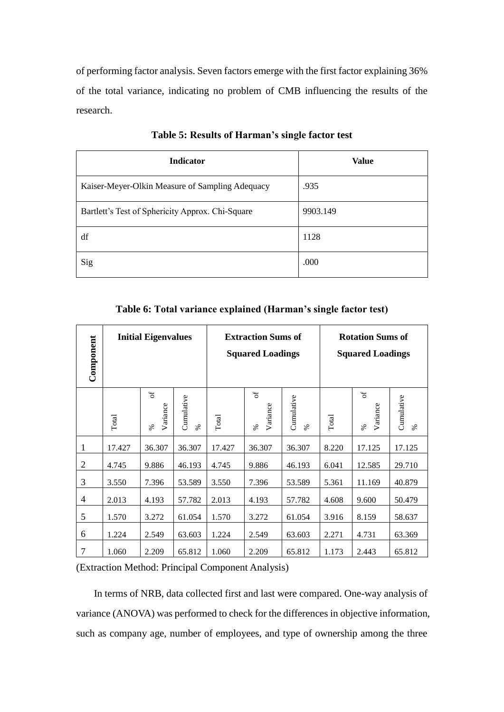of performing factor analysis. Seven factors emerge with the first factor explaining 36% of the total variance, indicating no problem of CMB influencing the results of the research.

| <b>Indicator</b>                                 | Value    |
|--------------------------------------------------|----------|
| Kaiser-Meyer-Olkin Measure of Sampling Adequacy  | .935     |
| Bartlett's Test of Sphericity Approx. Chi-Square | 9903.149 |
| df                                               | 1128     |
| Sig                                              | .000     |

**Table 5: Results of Harman's single factor test**

| Component      |        | <b>Initial Eigenvalues</b>         |                    | <b>Extraction Sums of</b><br><b>Squared Loadings</b> |                        |                    | <b>Rotation Sums of</b><br><b>Squared Loadings</b> |                       |                    |
|----------------|--------|------------------------------------|--------------------|------------------------------------------------------|------------------------|--------------------|----------------------------------------------------|-----------------------|--------------------|
|                | Total  | $\mathfrak{b}$<br>Variance<br>$\%$ | Cumulative<br>$\%$ | Total                                                | 6f<br>Variance<br>$\%$ | Cumulative<br>$\%$ | Total                                              | đ<br>Variance<br>$\%$ | Cumulative<br>$\%$ |
| 1              | 17.427 | 36.307                             | 36.307             | 17.427                                               | 36.307                 | 36.307             | 8.220                                              | 17.125                | 17.125             |
| $\overline{2}$ | 4.745  | 9.886                              | 46.193             | 4.745                                                | 9.886                  | 46.193             | 6.041                                              | 12.585                | 29.710             |
| 3              | 3.550  | 7.396                              | 53.589             | 3.550                                                | 7.396                  | 53.589             | 5.361                                              | 11.169                | 40.879             |
| $\overline{4}$ | 2.013  | 4.193                              | 57.782             | 2.013                                                | 4.193                  | 57.782             | 4.608                                              | 9.600                 | 50.479             |
| 5              | 1.570  | 3.272                              | 61.054             | 1.570                                                | 3.272                  | 61.054             | 3.916                                              | 8.159                 | 58.637             |
| 6              | 1.224  | 2.549                              | 63.603             | 1.224                                                | 2.549                  | 63.603             | 2.271                                              | 4.731                 | 63.369             |
| $\overline{7}$ | 1.060  | 2.209                              | 65.812             | 1.060                                                | 2.209                  | 65.812             | 1.173                                              | 2.443                 | 65.812             |

**Table 6: Total variance explained (Harman's single factor test)**

(Extraction Method: Principal Component Analysis)

In terms of NRB, data collected first and last were compared. One-way analysis of variance (ANOVA) was performed to check for the differences in objective information, such as company age, number of employees, and type of ownership among the three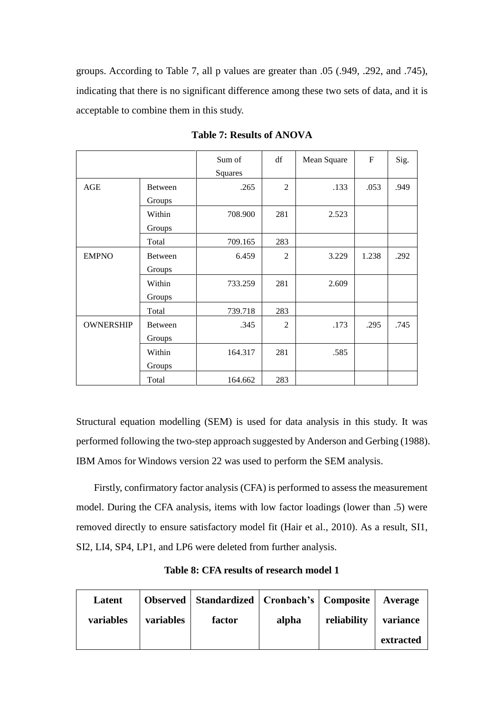groups. According to Table 7, all p values are greater than .05 (.949, .292, and .745), indicating that there is no significant difference among these two sets of data, and it is acceptable to combine them in this study.

|                  |         | Sum of  | df             | Mean Square | $\mathbf{F}$ | Sig. |
|------------------|---------|---------|----------------|-------------|--------------|------|
|                  |         | Squares |                |             |              |      |
| AGE              | Between | .265    | 2              | .133        | .053         | .949 |
|                  | Groups  |         |                |             |              |      |
|                  | Within  | 708.900 | 281            | 2.523       |              |      |
|                  | Groups  |         |                |             |              |      |
|                  | Total   | 709.165 | 283            |             |              |      |
| <b>EMPNO</b>     | Between | 6.459   | $\overline{2}$ | 3.229       | 1.238        | .292 |
|                  | Groups  |         |                |             |              |      |
|                  | Within  | 733.259 | 281            | 2.609       |              |      |
|                  | Groups  |         |                |             |              |      |
|                  | Total   | 739.718 | 283            |             |              |      |
| <b>OWNERSHIP</b> | Between | .345    | 2              | .173        | .295         | .745 |
|                  | Groups  |         |                |             |              |      |
|                  | Within  | 164.317 | 281            | .585        |              |      |
|                  | Groups  |         |                |             |              |      |
|                  | Total   | 164.662 | 283            |             |              |      |

**Table 7: Results of ANOVA**

Structural equation modelling (SEM) is used for data analysis in this study. It was performed following the two-step approach suggested by Anderson and Gerbing (1988). IBM Amos for Windows version 22 was used to perform the SEM analysis.

Firstly, confirmatory factor analysis (CFA) is performed to assess the measurement model. During the CFA analysis, items with low factor loadings (lower than .5) were removed directly to ensure satisfactory model fit (Hair et al., 2010). As a result, SI1, SI2, LI4, SP4, LP1, and LP6 were deleted from further analysis.

**Table 8: CFA results of research model 1** 

| Latent    |           | <b>Observed</b>   Standardized   Cronbach's   Composite |       |             | Average   |
|-----------|-----------|---------------------------------------------------------|-------|-------------|-----------|
| variables | variables | factor                                                  | alpha | reliability | variance  |
|           |           |                                                         |       |             | extracted |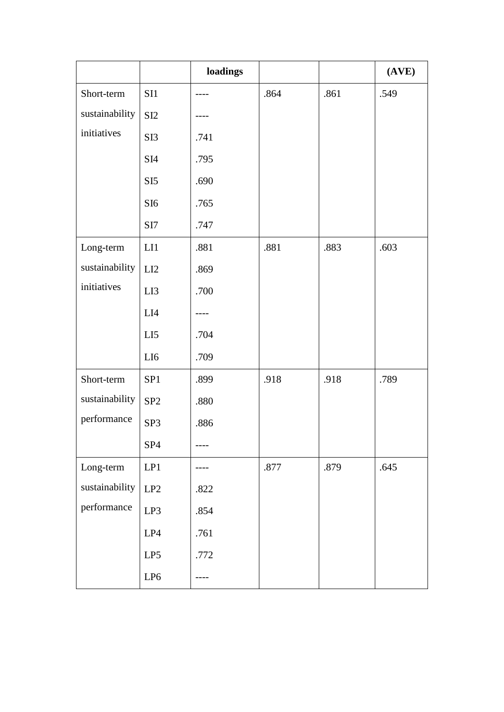|                |                 | loadings |          |      | (AVE) |
|----------------|-----------------|----------|----------|------|-------|
| Short-term     | SI1             |          | .864     | .861 | .549  |
| sustainability | SI <sub>2</sub> |          |          |      |       |
| initiatives    | SI3             | .741     |          |      |       |
|                | SI4             | .795     |          |      |       |
|                | SI <sub>5</sub> | .690     |          |      |       |
|                | SI <sub>6</sub> | .765     |          |      |       |
|                | SI7             | .747     |          |      |       |
| Long-term      | LI              | .881     | .881     | .883 | .603  |
| sustainability | LI2             | .869     |          |      |       |
| initiatives    | LI3             | .700     |          |      |       |
|                | LI4             |          |          |      |       |
|                | LI <sub>5</sub> | .704     |          |      |       |
|                | LI6             | .709     |          |      |       |
| Short-term     | SP1             | .899     | .918     | .918 | .789  |
| sustainability | SP <sub>2</sub> | .880     |          |      |       |
| performance    | SP <sub>3</sub> | .886     |          |      |       |
|                | SP <sub>4</sub> |          |          |      |       |
| Long-term      | LP1             |          | $.877\,$ | .879 | .645  |
| sustainability | LP2             | .822     |          |      |       |
| performance    | LP3             | .854     |          |      |       |
|                | LP4             | .761     |          |      |       |
|                | LP5             | .772     |          |      |       |
|                | LP6             |          |          |      |       |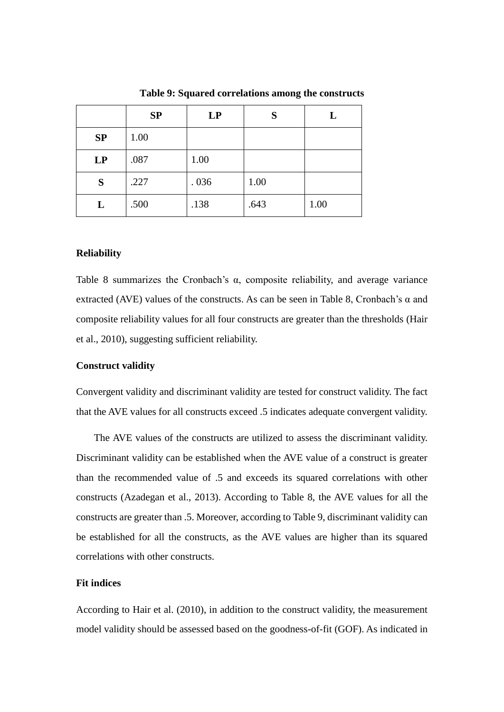|    | SP   | LP   | S    |      |
|----|------|------|------|------|
| SP | 1.00 |      |      |      |
| LP | .087 | 1.00 |      |      |
| S  | .227 | .036 | 1.00 |      |
| L  | .500 | .138 | .643 | 1.00 |

**Table 9: Squared correlations among the constructs**

#### **Reliability**

Table 8 summarizes the Cronbach's  $\alpha$ , composite reliability, and average variance extracted (AVE) values of the constructs. As can be seen in Table 8, Cronbach's  $\alpha$  and composite reliability values for all four constructs are greater than the thresholds (Hair et al., 2010), suggesting sufficient reliability.

#### **Construct validity**

Convergent validity and discriminant validity are tested for construct validity. The fact that the AVE values for all constructs exceed .5 indicates adequate convergent validity.

The AVE values of the constructs are utilized to assess the discriminant validity. Discriminant validity can be established when the AVE value of a construct is greater than the recommended value of .5 and exceeds its squared correlations with other constructs (Azadegan et al., 2013). According to Table 8, the AVE values for all the constructs are greater than .5. Moreover, according to Table 9, discriminant validity can be established for all the constructs, as the AVE values are higher than its squared correlations with other constructs.

#### **Fit indices**

According to Hair et al. (2010), in addition to the construct validity, the measurement model validity should be assessed based on the goodness-of-fit (GOF). As indicated in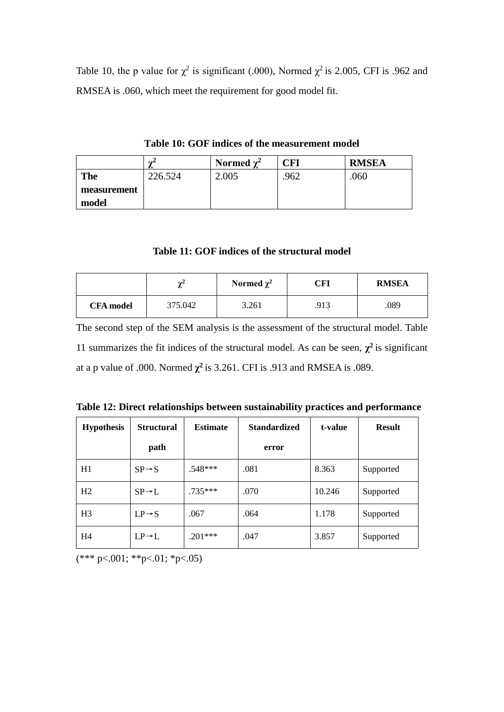Table 10, the p value for  $\chi^2$  is significant (.000), Normed  $\chi^2$  is 2.005, CFI is .962 and RMSEA is .060, which meet the requirement for good model fit.

|             | $\sim$<br>∼ | Normed $\chi^2$ | $\mathbb C \mathbf F \mathbf I$ | <b>RMSEA</b> |
|-------------|-------------|-----------------|---------------------------------|--------------|
| <b>The</b>  | 226.524     | 2.005           | .962                            | .060         |
| measurement |             |                 |                                 |              |
| model       |             |                 |                                 |              |

**Table 10: GOF indices of the measurement model** 

**Table 11: GOF indices of the structural model**

|                  | $\sim$<br>∼ | Normed $\chi^2$ | CFI  | <b>RMSEA</b> |
|------------------|-------------|-----------------|------|--------------|
| <b>CFA</b> model | 375.042     | 3.261           | .913 | .089         |

The second step of the SEM analysis is the assessment of the structural model. Table 11 summarizes the fit indices of the structural model. As can be seen,  $\chi^2$  is significant at a p value of .000. Normed  $\chi^2$  is 3.261. CFI is .913 and RMSEA is .089.

|  | Table 12: Direct relationships between sustainability practices and performance |  |
|--|---------------------------------------------------------------------------------|--|
|  |                                                                                 |  |

| <b>Hypothesis</b> | <b>Structural</b>  | <b>Estimate</b> | <b>Standardized</b> | t-value | <b>Result</b> |
|-------------------|--------------------|-----------------|---------------------|---------|---------------|
|                   | path               |                 | error               |         |               |
| H1                | $SP \rightarrow S$ | $.548***$       | .081                | 8.363   | Supported     |
| H <sub>2</sub>    | $SP \rightarrow L$ | $.735***$       | .070                | 10.246  | Supported     |
| H <sub>3</sub>    | $LP \rightarrow S$ | .067            | .064                | 1.178   | Supported     |
| H4                | $LP \rightarrow L$ | $.201***$       | .047                | 3.857   | Supported     |

 $(*** p < 001; ** p < 01; *p < 05)$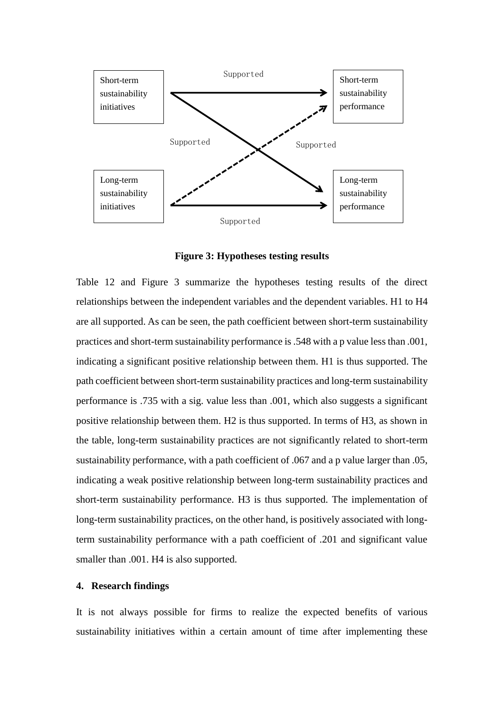

**Figure 3: Hypotheses testing results** 

Table 12 and Figure 3 summarize the hypotheses testing results of the direct relationships between the independent variables and the dependent variables. H1 to H4 are all supported. As can be seen, the path coefficient between short-term sustainability practices and short-term sustainability performance is .548 with a p value less than .001, indicating a significant positive relationship between them. H1 is thus supported. The path coefficient between short-term sustainability practices and long-term sustainability performance is .735 with a sig. value less than .001, which also suggests a significant positive relationship between them. H2 is thus supported. In terms of H3, as shown in the table, long-term sustainability practices are not significantly related to short-term sustainability performance, with a path coefficient of .067 and a p value larger than .05, indicating a weak positive relationship between long-term sustainability practices and short-term sustainability performance. H3 is thus supported. The implementation of long-term sustainability practices, on the other hand, is positively associated with longterm sustainability performance with a path coefficient of .201 and significant value smaller than .001. H4 is also supported.

#### **4. Research findings**

It is not always possible for firms to realize the expected benefits of various sustainability initiatives within a certain amount of time after implementing these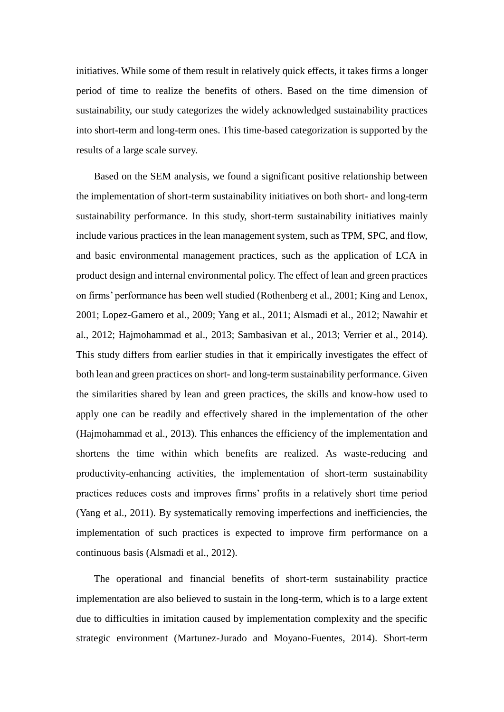initiatives. While some of them result in relatively quick effects, it takes firms a longer period of time to realize the benefits of others. Based on the time dimension of sustainability, our study categorizes the widely acknowledged sustainability practices into short-term and long-term ones. This time-based categorization is supported by the results of a large scale survey.

Based on the SEM analysis, we found a significant positive relationship between the implementation of short-term sustainability initiatives on both short- and long-term sustainability performance. In this study, short-term sustainability initiatives mainly include various practices in the lean management system, such as TPM, SPC, and flow, and basic environmental management practices, such as the application of LCA in product design and internal environmental policy. The effect of lean and green practices on firms' performance has been well studied (Rothenberg et al., 2001; King and Lenox, 2001; Lopez-Gamero et al., 2009; Yang et al., 2011; Alsmadi et al., 2012; Nawahir et al., 2012; Hajmohammad et al., 2013; Sambasivan et al., 2013; Verrier et al., 2014). This study differs from earlier studies in that it empirically investigates the effect of both lean and green practices on short- and long-term sustainability performance. Given the similarities shared by lean and green practices, the skills and know-how used to apply one can be readily and effectively shared in the implementation of the other (Hajmohammad et al., 2013). This enhances the efficiency of the implementation and shortens the time within which benefits are realized. As waste-reducing and productivity-enhancing activities, the implementation of short-term sustainability practices reduces costs and improves firms' profits in a relatively short time period (Yang et al., 2011). By systematically removing imperfections and inefficiencies, the implementation of such practices is expected to improve firm performance on a continuous basis (Alsmadi et al., 2012).

The operational and financial benefits of short-term sustainability practice implementation are also believed to sustain in the long-term, which is to a large extent due to difficulties in imitation caused by implementation complexity and the specific strategic environment (Martunez-Jurado and Moyano-Fuentes, 2014). Short-term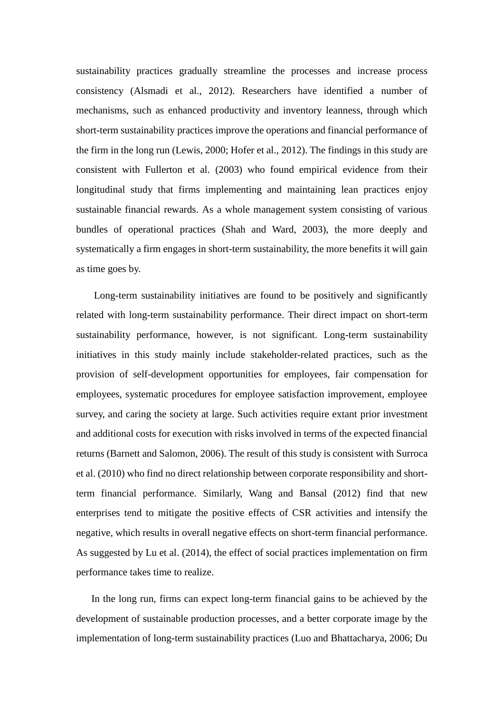sustainability practices gradually streamline the processes and increase process consistency (Alsmadi et al., 2012). Researchers have identified a number of mechanisms, such as enhanced productivity and inventory leanness, through which short-term sustainability practices improve the operations and financial performance of the firm in the long run (Lewis, 2000; Hofer et al., 2012). The findings in this study are consistent with Fullerton et al. (2003) who found empirical evidence from their longitudinal study that firms implementing and maintaining lean practices enjoy sustainable financial rewards. As a whole management system consisting of various bundles of operational practices (Shah and Ward, 2003), the more deeply and systematically a firm engages in short-term sustainability, the more benefits it will gain as time goes by.

Long-term sustainability initiatives are found to be positively and significantly related with long-term sustainability performance. Their direct impact on short-term sustainability performance, however, is not significant. Long-term sustainability initiatives in this study mainly include stakeholder-related practices, such as the provision of self-development opportunities for employees, fair compensation for employees, systematic procedures for employee satisfaction improvement, employee survey, and caring the society at large. Such activities require extant prior investment and additional costs for execution with risks involved in terms of the expected financial returns (Barnett and Salomon, 2006). The result of this study is consistent with Surroca et al. (2010) who find no direct relationship between corporate responsibility and shortterm financial performance. Similarly, Wang and Bansal (2012) find that new enterprises tend to mitigate the positive effects of CSR activities and intensify the negative, which results in overall negative effects on short-term financial performance. As suggested by Lu et al. (2014), the effect of social practices implementation on firm performance takes time to realize.

In the long run, firms can expect long-term financial gains to be achieved by the development of sustainable production processes, and a better corporate image by the implementation of long-term sustainability practices (Luo and Bhattacharya, 2006; Du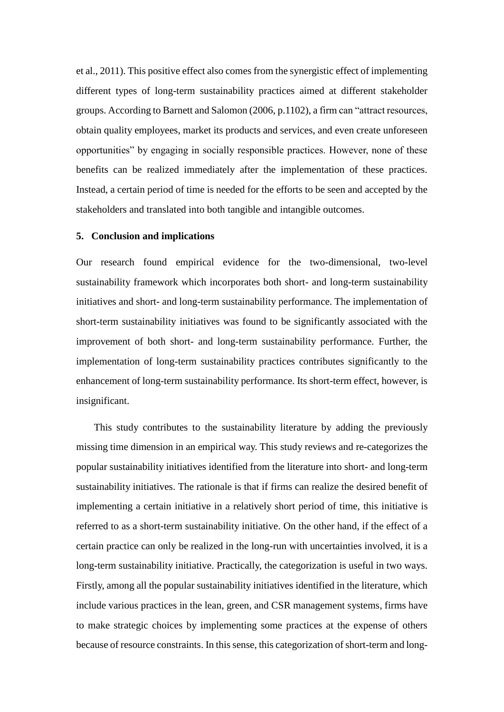et al., 2011). This positive effect also comes from the synergistic effect of implementing different types of long-term sustainability practices aimed at different stakeholder groups. According to Barnett and Salomon (2006, p.1102), a firm can "attract resources, obtain quality employees, market its products and services, and even create unforeseen opportunities" by engaging in socially responsible practices. However, none of these benefits can be realized immediately after the implementation of these practices. Instead, a certain period of time is needed for the efforts to be seen and accepted by the stakeholders and translated into both tangible and intangible outcomes.

#### **5. Conclusion and implications**

Our research found empirical evidence for the two-dimensional, two-level sustainability framework which incorporates both short- and long-term sustainability initiatives and short- and long-term sustainability performance. The implementation of short-term sustainability initiatives was found to be significantly associated with the improvement of both short- and long-term sustainability performance. Further, the implementation of long-term sustainability practices contributes significantly to the enhancement of long-term sustainability performance. Its short-term effect, however, is insignificant.

This study contributes to the sustainability literature by adding the previously missing time dimension in an empirical way. This study reviews and re-categorizes the popular sustainability initiatives identified from the literature into short- and long-term sustainability initiatives. The rationale is that if firms can realize the desired benefit of implementing a certain initiative in a relatively short period of time, this initiative is referred to as a short-term sustainability initiative. On the other hand, if the effect of a certain practice can only be realized in the long-run with uncertainties involved, it is a long-term sustainability initiative. Practically, the categorization is useful in two ways. Firstly, among all the popular sustainability initiatives identified in the literature, which include various practices in the lean, green, and CSR management systems, firms have to make strategic choices by implementing some practices at the expense of others because of resource constraints. In this sense, this categorization of short-term and long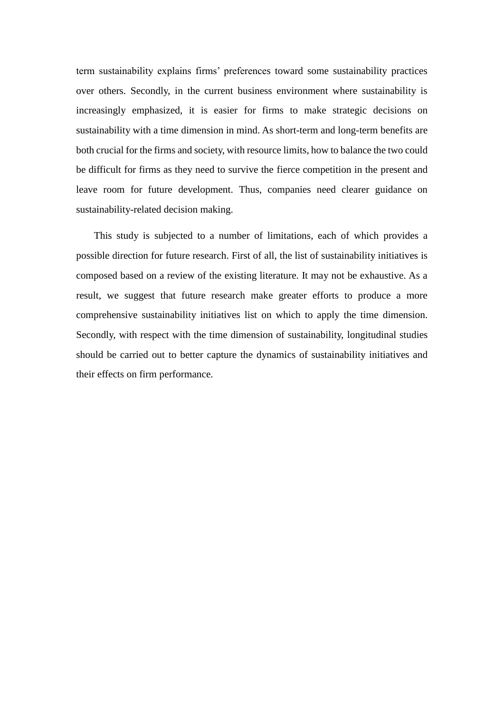term sustainability explains firms' preferences toward some sustainability practices over others. Secondly, in the current business environment where sustainability is increasingly emphasized, it is easier for firms to make strategic decisions on sustainability with a time dimension in mind. As short-term and long-term benefits are both crucial for the firms and society, with resource limits, how to balance the two could be difficult for firms as they need to survive the fierce competition in the present and leave room for future development. Thus, companies need clearer guidance on sustainability-related decision making.

This study is subjected to a number of limitations, each of which provides a possible direction for future research. First of all, the list of sustainability initiatives is composed based on a review of the existing literature. It may not be exhaustive. As a result, we suggest that future research make greater efforts to produce a more comprehensive sustainability initiatives list on which to apply the time dimension. Secondly, with respect with the time dimension of sustainability, longitudinal studies should be carried out to better capture the dynamics of sustainability initiatives and their effects on firm performance.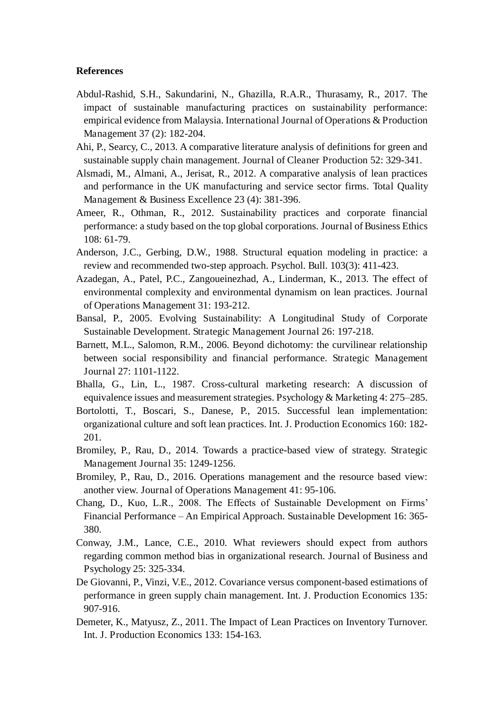#### **References**

- Abdul-Rashid, S.H., Sakundarini, N., Ghazilla, R.A.R., Thurasamy, R., 2017. The impact of sustainable manufacturing practices on sustainability performance: empirical evidence from Malaysia. International Journal of Operations & Production Management 37 (2): 182-204.
- Ahi, P., Searcy, C., 2013. A comparative literature analysis of definitions for green and sustainable supply chain management. Journal of Cleaner Production 52: 329-341.
- Alsmadi, M., Almani, A., Jerisat, R., 2012. A comparative analysis of lean practices and performance in the UK manufacturing and service sector firms. Total Quality Management & Business Excellence 23 (4): 381-396.
- Ameer, R., Othman, R., 2012. Sustainability practices and corporate financial performance: a study based on the top global corporations. Journal of Business Ethics 108: 61-79.
- Anderson, J.C., Gerbing, D.W., 1988. Structural equation modeling in practice: a review and recommended two-step approach. Psychol. Bull. 103(3): 411-423.
- Azadegan, A., Patel, P.C., Zangoueinezhad, A., Linderman, K., 2013. The effect of environmental complexity and environmental dynamism on lean practices. Journal of Operations Management 31: 193-212.
- Bansal, P., 2005. Evolving Sustainability: A Longitudinal Study of Corporate Sustainable Development. Strategic Management Journal 26: 197-218.
- Barnett, M.L., Salomon, R.M., 2006. Beyond dichotomy: the curvilinear relationship between social responsibility and financial performance. Strategic Management Journal 27: 1101-1122.
- Bhalla, G., Lin, L., 1987. Cross-cultural marketing research: A discussion of equivalence issues and measurement strategies. Psychology & Marketing 4: 275–285.
- Bortolotti, T., Boscari, S., Danese, P., 2015. Successful lean implementation: organizational culture and soft lean practices. Int. J. Production Economics 160: 182- 201.
- Bromiley, P., Rau, D., 2014. Towards a practice-based view of strategy. Strategic Management Journal 35: 1249-1256.
- Bromiley, P., Rau, D., 2016. Operations management and the resource based view: another view. Journal of Operations Management 41: 95-106.
- Chang, D., Kuo, L.R., 2008. The Effects of Sustainable Development on Firms' Financial Performance – An Empirical Approach. Sustainable Development 16: 365- 380.
- Conway, J.M., Lance, C.E., 2010. What reviewers should expect from authors regarding common method bias in organizational research. Journal of Business and Psychology 25: 325-334.
- De Giovanni, P., Vinzi, V.E., 2012. Covariance versus component-based estimations of performance in green supply chain management. Int. J. Production Economics 135: 907-916.
- Demeter, K., Matyusz, Z., 2011. The Impact of Lean Practices on Inventory Turnover. Int. J. Production Economics 133: 154-163.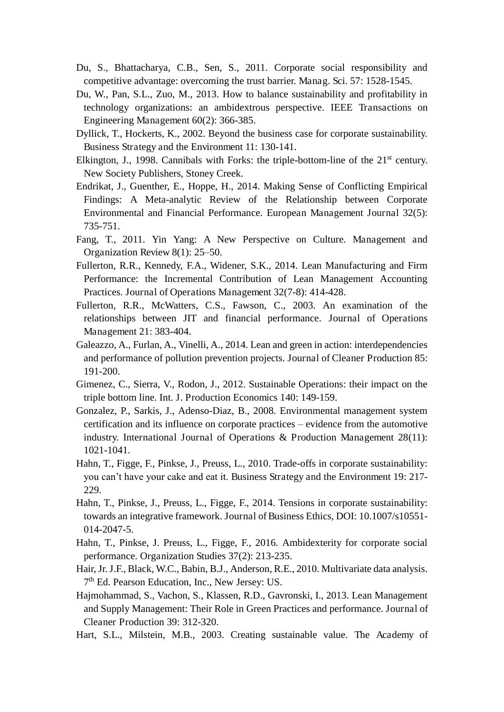- Du, S., Bhattacharya, C.B., Sen, S., 2011. Corporate social responsibility and competitive advantage: overcoming the trust barrier. Manag. Sci. 57: 1528-1545.
- Du, W., Pan, S.L., Zuo, M., 2013. How to balance sustainability and profitability in technology organizations: an ambidextrous perspective. IEEE Transactions on Engineering Management 60(2): 366-385.
- Dyllick, T., Hockerts, K., 2002. Beyond the business case for corporate sustainability. Business Strategy and the Environment 11: 130-141.
- Elkington, J., 1998. Cannibals with Forks: the triple-bottom-line of the  $21<sup>st</sup>$  century. New Society Publishers, Stoney Creek.
- Endrikat, J., Guenther, E., Hoppe, H., 2014. Making Sense of Conflicting Empirical Findings: A Meta-analytic Review of the Relationship between Corporate Environmental and Financial Performance. European Management Journal 32(5): 735-751.
- Fang, T., 2011. Yin Yang: A New Perspective on Culture. Management and Organization Review 8(1): 25–50.
- Fullerton, R.R., Kennedy, F.A., Widener, S.K., 2014. Lean Manufacturing and Firm Performance: the Incremental Contribution of Lean Management Accounting Practices. Journal of Operations Management 32(7-8): 414-428.
- Fullerton, R.R., McWatters, C.S., Fawson, C., 2003. An examination of the relationships between JIT and financial performance. Journal of Operations Management 21: 383-404.
- Galeazzo, A., Furlan, A., Vinelli, A., 2014. Lean and green in action: interdependencies and performance of pollution prevention projects. Journal of Cleaner Production 85: 191-200.
- Gimenez, C., Sierra, V., Rodon, J., 2012. Sustainable Operations: their impact on the triple bottom line. Int. J. Production Economics 140: 149-159.
- Gonzalez, P., Sarkis, J., Adenso-Diaz, B., 2008. Environmental management system certification and its influence on corporate practices – evidence from the automotive industry. International Journal of Operations & Production Management 28(11): 1021-1041.
- Hahn, T., Figge, F., Pinkse, J., Preuss, L., 2010. Trade-offs in corporate sustainability: you can't have your cake and eat it. Business Strategy and the Environment 19: 217- 229.
- Hahn, T., Pinkse, J., Preuss, L., Figge, F., 2014. Tensions in corporate sustainability: towards an integrative framework. Journal of Business Ethics, DOI: 10.1007/s10551- 014-2047-5.
- Hahn, T., Pinkse, J. Preuss, L., Figge, F., 2016. Ambidexterity for corporate social performance. Organization Studies 37(2): 213-235.
- Hair, Jr. J.F., Black, W.C., Babin, B.J., Anderson, R.E., 2010. Multivariate data analysis. 7<sup>th</sup> Ed. Pearson Education, Inc., New Jersey: US.
- Hajmohammad, S., Vachon, S., Klassen, R.D., Gavronski, I., 2013. Lean Management and Supply Management: Their Role in Green Practices and performance. Journal of Cleaner Production 39: 312-320.
- Hart, S.L., Milstein, M.B., 2003. Creating sustainable value. The Academy of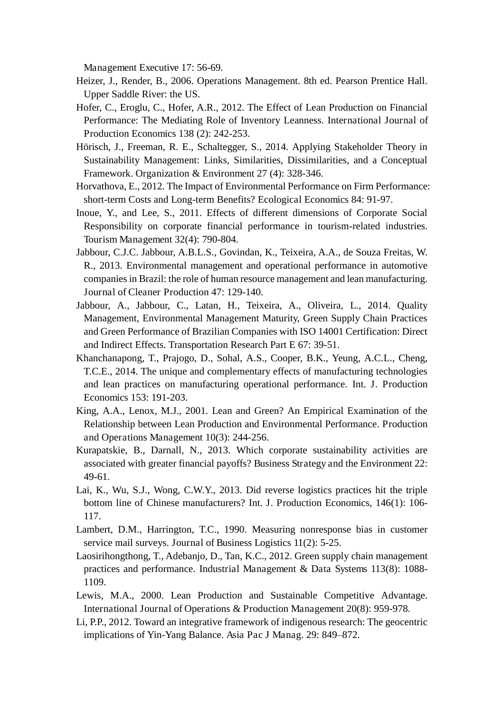Management Executive 17: 56-69.

- Heizer, J., Render, B., 2006. Operations Management. 8th ed. Pearson Prentice Hall. Upper Saddle River: the US.
- Hofer, C., Eroglu, C., Hofer, A.R., 2012. The Effect of Lean Production on Financial Performance: The Mediating Role of Inventory Leanness. International Journal of Production Economics 138 (2): 242-253.
- Hörisch, J., Freeman, R. E., Schaltegger, S., 2014. Applying Stakeholder Theory in Sustainability Management: Links, Similarities, Dissimilarities, and a Conceptual Framework. Organization & Environment 27 (4): 328-346.
- Horvathova, E., 2012. The Impact of Environmental Performance on Firm Performance: short-term Costs and Long-term Benefits? Ecological Economics 84: 91-97.
- Inoue, Y., and Lee, S., 2011. Effects of different dimensions of Corporate Social Responsibility on corporate financial performance in tourism-related industries. Tourism Management 32(4): 790-804.
- Jabbour, C.J.C. Jabbour, A.B.L.S., Govindan, K., Teixeira, A.A., de Souza Freitas, W. R., 2013. Environmental management and operational performance in automotive companies in Brazil: the role of human resource management and lean manufacturing. Journal of Cleaner Production 47: 129-140.
- Jabbour, A., Jabbour, C., Latan, H., Teixeira, A., Oliveira, L., 2014. Quality Management, Environmental Management Maturity, Green Supply Chain Practices and Green Performance of Brazilian Companies with ISO 14001 Certification: Direct and Indirect Effects. Transportation Research Part E 67: 39-51.
- Khanchanapong, T., Prajogo, D., Sohal, A.S., Cooper, B.K., Yeung, A.C.L., Cheng, T.C.E., 2014. The unique and complementary effects of manufacturing technologies and lean practices on manufacturing operational performance. Int. J. Production Economics 153: 191-203.
- King, A.A., Lenox, M.J., 2001. Lean and Green? An Empirical Examination of the Relationship between Lean Production and Environmental Performance. Production and Operations Management 10(3): 244-256.
- Kurapatskie, B., Darnall, N., 2013. Which corporate sustainability activities are associated with greater financial payoffs? Business Strategy and the Environment 22: 49-61.
- Lai, K., Wu, S.J., Wong, C.W.Y., 2013. Did reverse logistics practices hit the triple bottom line of Chinese manufacturers? Int. J. Production Economics, 146(1): 106- 117.
- Lambert, D.M., Harrington, T.C., 1990. Measuring nonresponse bias in customer service mail surveys. Journal of Business Logistics 11(2): 5-25.
- Laosirihongthong, T., Adebanjo, D., Tan, K.C., 2012. Green supply chain management practices and performance. Industrial Management & Data Systems 113(8): 1088- 1109.
- Lewis, M.A., 2000. Lean Production and Sustainable Competitive Advantage. International Journal of Operations & Production Management 20(8): 959-978.
- Li, P.P., 2012. Toward an integrative framework of indigenous research: The geocentric implications of Yin-Yang Balance. Asia Pac J Manag. 29: 849–872.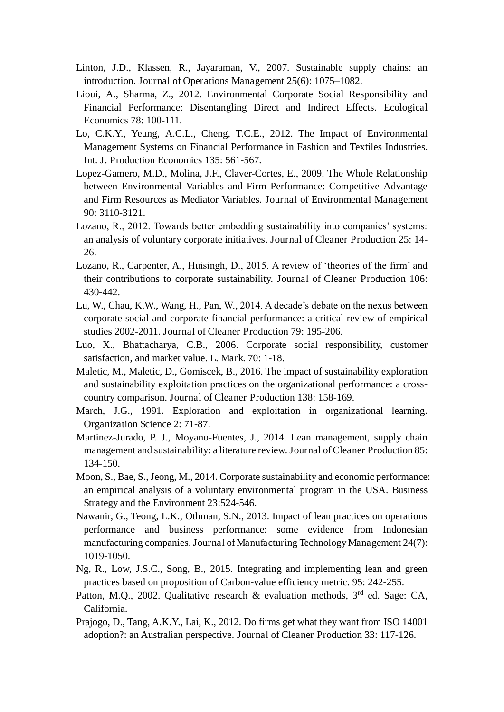- Linton, J.D., Klassen, R., Jayaraman, V., 2007. Sustainable supply chains: an introduction. Journal of Operations Management 25(6): 1075–1082.
- Lioui, A., Sharma, Z., 2012. Environmental Corporate Social Responsibility and Financial Performance: Disentangling Direct and Indirect Effects. Ecological Economics 78: 100-111.
- Lo, C.K.Y., Yeung, A.C.L., Cheng, T.C.E., 2012. The Impact of Environmental Management Systems on Financial Performance in Fashion and Textiles Industries. Int. J. Production Economics 135: 561-567.
- Lopez-Gamero, M.D., Molina, J.F., Claver-Cortes, E., 2009. The Whole Relationship between Environmental Variables and Firm Performance: Competitive Advantage and Firm Resources as Mediator Variables. Journal of Environmental Management 90: 3110-3121.
- Lozano, R., 2012. Towards better embedding sustainability into companies' systems: an analysis of voluntary corporate initiatives. Journal of Cleaner Production 25: 14- 26.
- Lozano, R., Carpenter, A., Huisingh, D., 2015. A review of 'theories of the firm' and their contributions to corporate sustainability. Journal of Cleaner Production 106: 430-442.
- Lu, W., Chau, K.W., Wang, H., Pan, W., 2014. A decade's debate on the nexus between corporate social and corporate financial performance: a critical review of empirical studies 2002-2011. Journal of Cleaner Production 79: 195-206.
- Luo, X., Bhattacharya, C.B., 2006. Corporate social responsibility, customer satisfaction, and market value. L. Mark. 70: 1-18.
- Maletic, M., Maletic, D., Gomiscek, B., 2016. The impact of sustainability exploration and sustainability exploitation practices on the organizational performance: a crosscountry comparison. Journal of Cleaner Production 138: 158-169.
- March, J.G., 1991. Exploration and exploitation in organizational learning. Organization Science 2: 71-87.
- Martinez-Jurado, P. J., Moyano-Fuentes, J., 2014. Lean management, supply chain management and sustainability: a literature review. Journal of Cleaner Production 85: 134-150.
- Moon, S., Bae, S., Jeong, M., 2014. Corporate sustainability and economic performance: an empirical analysis of a voluntary environmental program in the USA. Business Strategy and the Environment 23:524-546.
- Nawanir, G., Teong, L.K., Othman, S.N., 2013. Impact of lean practices on operations performance and business performance: some evidence from Indonesian manufacturing companies. Journal of Manufacturing Technology Management 24(7): 1019-1050.
- Ng, R., Low, J.S.C., Song, B., 2015. Integrating and implementing lean and green practices based on proposition of Carbon-value efficiency metric. 95: 242-255.
- Patton, M.Q., 2002. Qualitative research & evaluation methods, 3<sup>rd</sup> ed. Sage: CA, California.
- Prajogo, D., Tang, A.K.Y., Lai, K., 2012. Do firms get what they want from ISO 14001 adoption?: an Australian perspective. Journal of Cleaner Production 33: 117-126.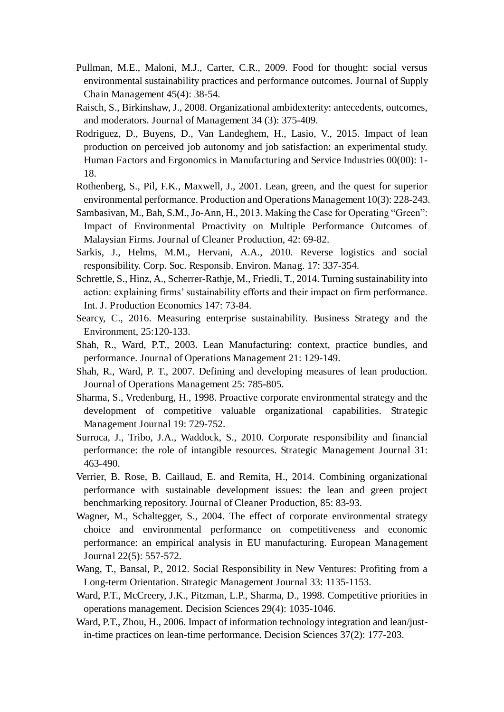- Pullman, M.E., Maloni, M.J., Carter, C.R., 2009. Food for thought: social versus environmental sustainability practices and performance outcomes. Journal of Supply Chain Management 45(4): 38-54.
- Raisch, S., Birkinshaw, J., 2008. Organizational ambidexterity: antecedents, outcomes, and moderators. Journal of Management 34 (3): 375-409.
- Rodriguez, D., Buyens, D., Van Landeghem, H., Lasio, V., 2015. Impact of lean production on perceived job autonomy and job satisfaction: an experimental study. Human Factors and Ergonomics in Manufacturing and Service Industries 00(00): 1- 18.
- Rothenberg, S., Pil, F.K., Maxwell, J., 2001. Lean, green, and the quest for superior environmental performance. Production and Operations Management 10(3): 228-243.
- Sambasivan, M., Bah, S.M., Jo-Ann, H., 2013. Making the Case for Operating "Green": Impact of Environmental Proactivity on Multiple Performance Outcomes of Malaysian Firms. Journal of Cleaner Production, 42: 69-82.
- Sarkis, J., Helms, M.M., Hervani, A.A., 2010. Reverse logistics and social responsibility. Corp. Soc. Responsib. Environ. Manag. 17: 337-354.
- Schrettle, S., Hinz, A., Scherrer-Rathje, M., Friedli, T., 2014. Turning sustainability into action: explaining firms' sustainability efforts and their impact on firm performance. Int. J. Production Economics 147: 73-84.
- Searcy, C., 2016. Measuring enterprise sustainability. Business Strategy and the Environment, 25:120-133.
- Shah, R., Ward, P.T., 2003. Lean Manufacturing: context, practice bundles, and performance. Journal of Operations Management 21: 129-149.
- Shah, R., Ward, P. T., 2007. Defining and developing measures of lean production. Journal of Operations Management 25: 785-805.
- Sharma, S., Vredenburg, H., 1998. Proactive corporate environmental strategy and the development of competitive valuable organizational capabilities. Strategic Management Journal 19: 729-752.
- Surroca, J., Tribo, J.A., Waddock, S., 2010. Corporate responsibility and financial performance: the role of intangible resources. Strategic Management Journal 31: 463-490.
- Verrier, B. Rose, B. Caillaud, E. and Remita, H., 2014. Combining organizational performance with sustainable development issues: the lean and green project benchmarking repository. Journal of Cleaner Production, 85: 83-93.
- Wagner, M., Schaltegger, S., 2004. The effect of corporate environmental strategy choice and environmental performance on competitiveness and economic performance: an empirical analysis in EU manufacturing. European Management Journal 22(5): 557-572.
- Wang, T., Bansal, P., 2012. Social Responsibility in New Ventures: Profiting from a Long-term Orientation. Strategic Management Journal 33: 1135-1153.
- Ward, P.T., McCreery, J.K., Pitzman, L.P., Sharma, D., 1998. Competitive priorities in operations management. Decision Sciences 29(4): 1035-1046.
- Ward, P.T., Zhou, H., 2006. Impact of information technology integration and lean/justin-time practices on lean-time performance. Decision Sciences 37(2): 177-203.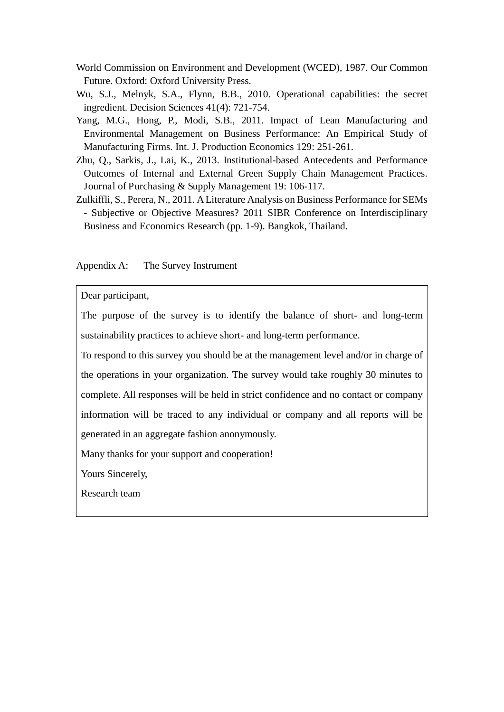- World Commission on Environment and Development (WCED), 1987. Our Common Future. Oxford: Oxford University Press.
- Wu, S.J., Melnyk, S.A., Flynn, B.B., 2010. Operational capabilities: the secret ingredient. Decision Sciences 41(4): 721-754.
- Yang, M.G., Hong, P., Modi, S.B., 2011. Impact of Lean Manufacturing and Environmental Management on Business Performance: An Empirical Study of Manufacturing Firms. Int. J. Production Economics 129: 251-261.
- Zhu, Q., Sarkis, J., Lai, K., 2013. Institutional-based Antecedents and Performance Outcomes of Internal and External Green Supply Chain Management Practices. Journal of Purchasing & Supply Management 19: 106-117.
- Zulkiffli, S., Perera, N., 2011. A Literature Analysis on Business Performance for SEMs - Subjective or Objective Measures? 2011 SIBR Conference on Interdisciplinary Business and Economics Research (pp. 1-9). Bangkok, Thailand.

Appendix A: The Survey Instrument

Dear participant,

The purpose of the survey is to identify the balance of short- and long-term sustainability practices to achieve short- and long-term performance.

To respond to this survey you should be at the management level and/or in charge of the operations in your organization. The survey would take roughly 30 minutes to complete. All responses will be held in strict confidence and no contact or company information will be traced to any individual or company and all reports will be generated in an aggregate fashion anonymously.

Many thanks for your support and cooperation!

Yours Sincerely,

Research team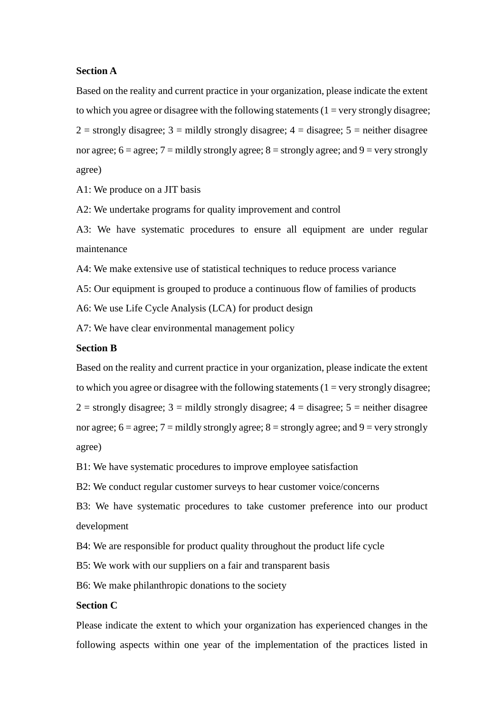#### **Section A**

Based on the reality and current practice in your organization, please indicate the extent to which you agree or disagree with the following statements  $(1 = \text{very strongly disagree})$ ;  $2 =$  strongly disagree;  $3 =$  mildly strongly disagree;  $4 =$  disagree;  $5 =$  neither disagree nor agree;  $6 = \text{agree}$ ;  $7 = \text{mildly strongly agree}$ ;  $8 = \text{strongly agree}$ ; and  $9 = \text{very strongly}$ agree)

A1: We produce on a JIT basis

A2: We undertake programs for quality improvement and control

A3: We have systematic procedures to ensure all equipment are under regular maintenance

A4: We make extensive use of statistical techniques to reduce process variance

A5: Our equipment is grouped to produce a continuous flow of families of products

A6: We use Life Cycle Analysis (LCA) for product design

A7: We have clear environmental management policy

#### **Section B**

Based on the reality and current practice in your organization, please indicate the extent to which you agree or disagree with the following statements  $(1 = \text{very strongly disagree})$ ;  $2 =$  strongly disagree;  $3 =$  mildly strongly disagree;  $4 =$  disagree;  $5 =$  neither disagree nor agree;  $6 = \text{agree}$ ;  $7 = \text{mildly strongly agree}$ ;  $8 = \text{strongly agree}$ ; and  $9 = \text{very strongly}$ agree)

B1: We have systematic procedures to improve employee satisfaction

B2: We conduct regular customer surveys to hear customer voice/concerns

B3: We have systematic procedures to take customer preference into our product development

B4: We are responsible for product quality throughout the product life cycle

B5: We work with our suppliers on a fair and transparent basis

B6: We make philanthropic donations to the society

#### **Section C**

Please indicate the extent to which your organization has experienced changes in the following aspects within one year of the implementation of the practices listed in